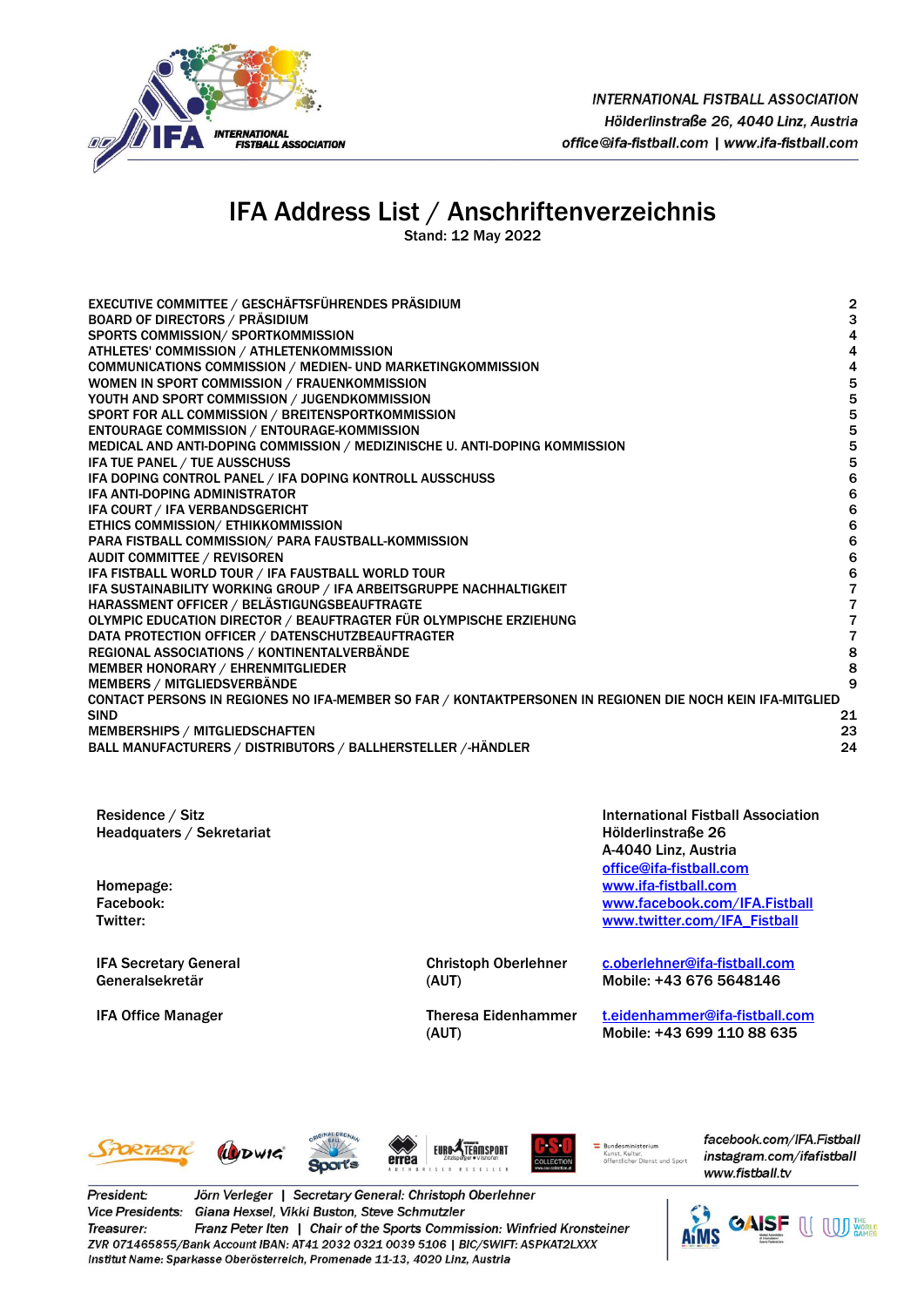

# IFA Address List / Anschriftenverzeichnis

Stand: 12 May 2022

| EXECUTIVE COMMITTEE / GESCHÄFTSFÜHRENDES PRÄSIDIUM                                                        | $\overline{\mathbf{c}}$ |
|-----------------------------------------------------------------------------------------------------------|-------------------------|
| <b>BOARD OF DIRECTORS / PRÄSIDIUM</b>                                                                     | 3                       |
| SPORTS COMMISSION/ SPORTKOMMISSION                                                                        | 4                       |
| ATHLETES' COMMISSION / ATHLETENKOMMISSION                                                                 | 4                       |
| COMMUNICATIONS COMMISSION / MEDIEN- UND MARKETINGKOMMISSION                                               | 4                       |
| WOMEN IN SPORT COMMISSION / FRAUENKOMMISSION                                                              | 5                       |
| YOUTH AND SPORT COMMISSION / JUGENDKOMMISSION                                                             | 5                       |
| SPORT FOR ALL COMMISSION / BREITENSPORTKOMMISSION                                                         | 5                       |
| <b>ENTOURAGE COMMISSION / ENTOURAGE-KOMMISSION</b>                                                        | 5                       |
| MEDICAL AND ANTI-DOPING COMMISSION / MEDIZINISCHE U. ANTI-DOPING KOMMISSION                               | 5                       |
| IFA TUE PANEL / TUE AUSSCHUSS                                                                             | 5                       |
| IFA DOPING CONTROL PANEL / IFA DOPING KONTROLL AUSSCHUSS                                                  | 6                       |
| <b>IFA ANTI-DOPING ADMINISTRATOR</b>                                                                      | 6                       |
| IFA COURT / IFA VERBANDSGERICHT                                                                           | $\bf 6$                 |
| ETHICS COMMISSION/ ETHIKKOMMISSION                                                                        | 6                       |
| PARA FISTBALL COMMISSION/ PARA FAUSTBALL-KOMMISSION                                                       | $\bf 6$                 |
| <b>AUDIT COMMITTEE / REVISOREN</b>                                                                        | $\bf 6$                 |
| IFA FISTBALL WORLD TOUR / IFA FAUSTBALL WORLD TOUR                                                        | 6                       |
| IFA SUSTAINABILITY WORKING GROUP / IFA ARBEITSGRUPPE NACHHALTIGKEIT                                       | $\overline{7}$          |
| HARASSMENT OFFICER / BELÄSTIGUNGSBEAUFTRAGTE                                                              | 7                       |
| OLYMPIC EDUCATION DIRECTOR / BEAUFTRAGTER FÜR OLYMPISCHE ERZIEHUNG                                        | 7                       |
| DATA PROTECTION OFFICER / DATENSCHUTZBEAUFTRAGTER                                                         | $\overline{\mathbf{r}}$ |
| REGIONAL ASSOCIATIONS / KONTINENTALVERBÄNDE                                                               | 8                       |
| MEMBER HONORARY / EHRENMITGLIEDER                                                                         | 8                       |
| <b>MEMBERS / MITGLIEDSVERBÄNDE</b>                                                                        | 9                       |
| CONTACT PERSONS IN REGIONES NO IFA-MEMBER SO FAR / KONTAKTPERSONEN IN REGIONEN DIE NOCH KEIN IFA-MITGLIED |                         |
| <b>SIND</b>                                                                                               | 21                      |
| <b>MEMBERSHIPS / MITGLIEDSCHAFTEN</b>                                                                     | 23                      |
| BALL MANUFACTURERS / DISTRIBUTORS / BALLHERSTELLER /-HÄNDLER                                              | 24                      |
|                                                                                                           |                         |

Residence / Sitz Headquaters / Sekretariat

IFA Secretary General Generalsekretär

Christoph Oberlehner (AUT)

IFA Office Manager Theresa Eidenhammer (AUT)

 International Fistball Association Hölderlinstraße 26 A-4040 Linz, Austria [office@ifa-fistball.com](mailto:office@ifa-fistball.com) Homepage: [www.ifa-fistball.com](http://www.ifa-fistball.com/) Facebook: [www.facebook.com/IFA.Fistball](http://www.facebook.com/IFA.Fistball) [www.twitter.com/IFA\\_Fistball](http://www.twitter.com/IFA_Fistball)

> [c.oberlehner@ifa-fistball.com](mailto:c.oberlehner@ifa-fistball.com) Mobile: +43 676 5648146

[t.eidenhammer@ifa-fistball.com](mailto:t.eidenhammer@ifa-fistball.com) Mobile: +43 699 110 88 635







OLLECT

Bundesministerium<br>Kunst, Kultur, Kunst, Kuitur,<br>öffentlicher Dienst und Spor facebook.com/IFA.Fistball instagram.com/ifafistball www.fistball.tv

President: Jörn Verleger | Secretary General: Christoph Oberlehner Vice Presidents: Giana Hexsel, Vikki Buston, Steve Schmutzler Treasurer: Franz Peter Iten | Chair of the Sports Commission: Winfried Kronsteiner ZVR 071465855/Bank Account IBAN: AT41 2032 0321 0039 5106 | BIC/SWIFT: ASPKAT2LXXX Institut Name: Sparkasse Oberösterreich, Promenade 11-13, 4020 Linz, Austria

eřrěa

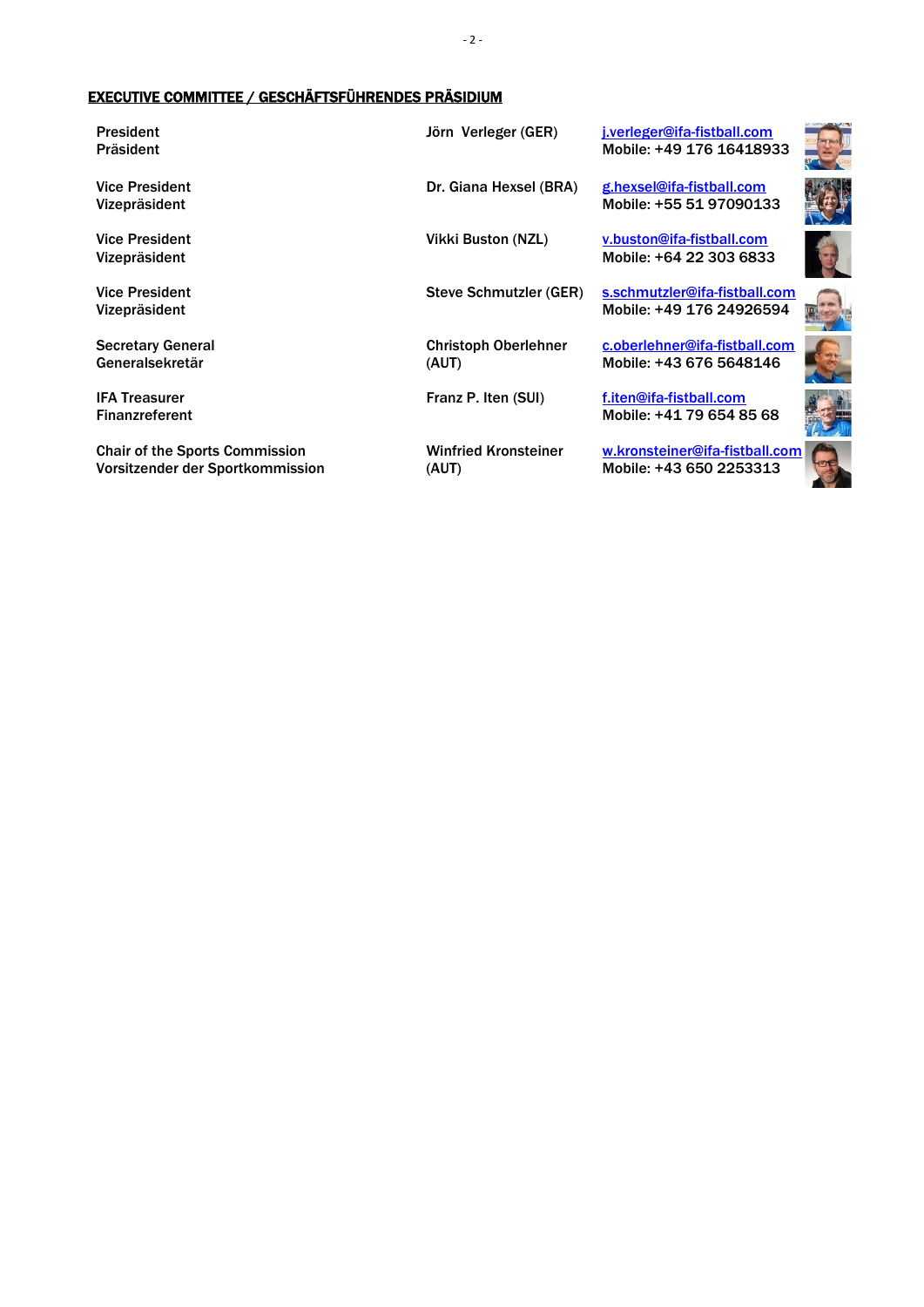#### <span id="page-1-0"></span>EXECUTIVE COMMITTEE / GESCHÄFTSFÜHRENDES PRÄSIDIUM

President Präsident

Vice President Vizepräsident

Vice President Vizepräsident

Vice President Vizepräsident

Secretary General Generalsekretär

IFA Treasurer Finanzreferent

Chair of the Sports Commission Vorsitzender der Sportkommission

Christoph Oberlehner (AUT)

Winfried Kronsteiner (AUT)

Jörn Verleger (GER) [j.verleger@ifa-fistball.com](mailto:j.verleger@ifa-fistball.com) Mobile: +49 176 16418933

Dr. Giana Hexsel (BRA) ghexsel@ifa-fistball.com Mobile: +55 51 97090133

Vikki Buston (NZL) [v.buston@ifa-fistball.com](mailto:v.buston@ifa-fistball.com) Mobile: +64 22 303 6833

Steve Schmutzler (GER) [s.schmutzler@ifa-fistball.com](mailto:s.schmutzler@ifa-fistball.com) Mobile: +49 176 24926594

> [c.oberlehner@ifa-fistball.com](mailto:c.oberlehner@ifa-fistball.com) Mobile: +43 676 5648146

Franz P. Iten (SUI) [f.iten@ifa-fistball.com](mailto:f.iten@ifa-fistball.com) Mobile: +41 79 654 85 68

> [w.kronsteiner@ifa-fistball.com](mailto:w.kronsteiner@ifa-fistball.com) Mobile: +43 650 2253313





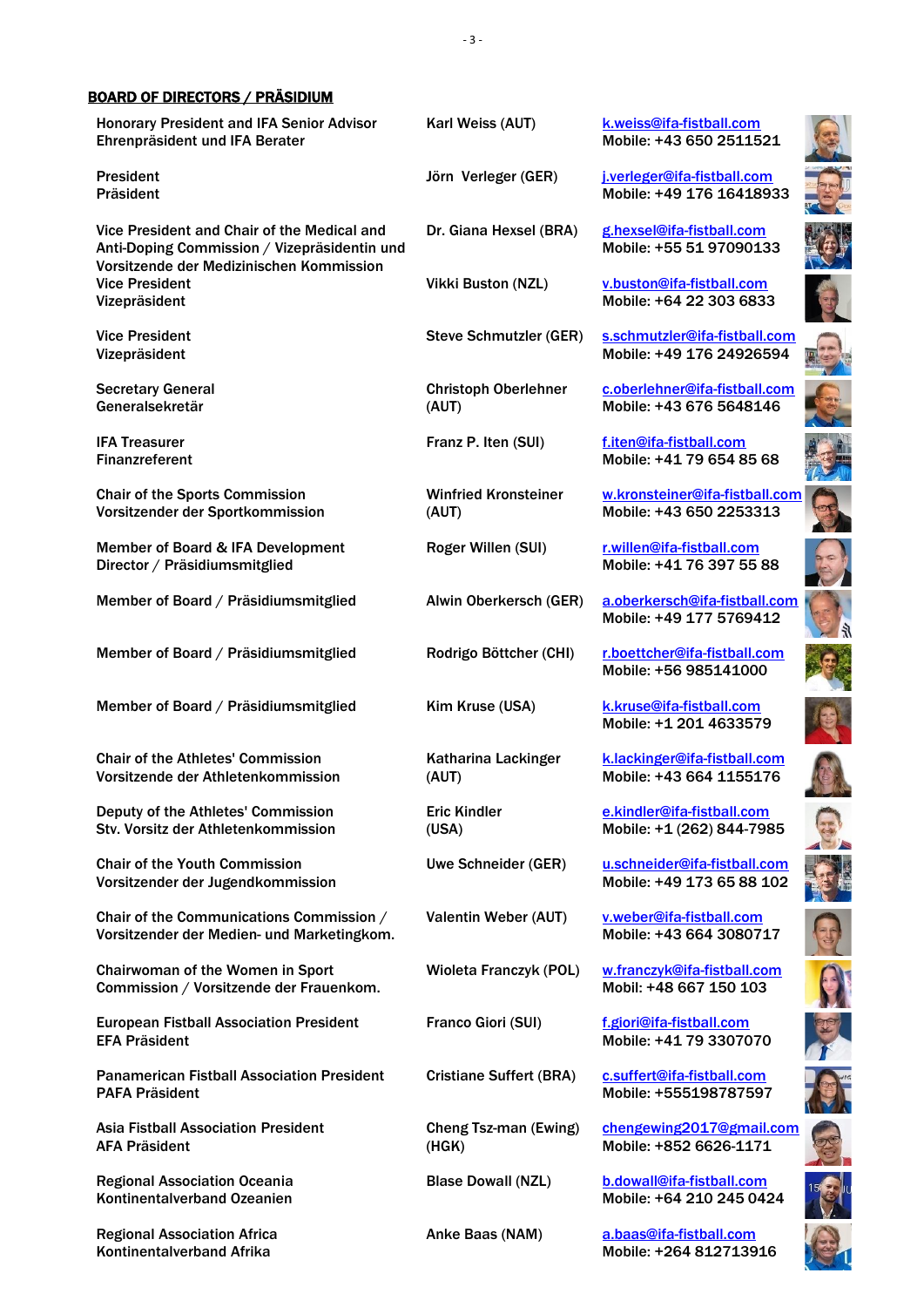#### <span id="page-2-0"></span>BOARD OF DIRECTORS / PRÄSIDIUM

Honorary President and IFA Senior Advisor Ehrenpräsident und IFA Berater

President Präsident

Vice President and Chair of the Medical and Anti-Doping Commission / Vizepräsidentin und Vorsitzende der Medizinischen Kommission Vice President Vizepräsident

Vice President Vizepräsident

Secretary General Generalsekretär

IFA Treasurer Finanzreferent

Chair of the Sports Commission Vorsitzender der Sportkommission

Member of Board & IFA Development Director / Präsidiumsmitglied

Member of Board / Präsidiumsmitglied Alwin Oberkersch (GER) [a.oberkersch@ifa-fistball.com](mailto:a.oberkersch@ifa-fistball.com)

Member of Board / Präsidiumsmitglied Rodrigo Böttcher (CHI) [r.boettcher@ifa-fistball.com](mailto:r.boettcher@ifa-fistball.com)

Member of Board / Präsidiumsmitglied Kim Kruse (USA) [k.kruse@ifa-fistball.com](mailto:k.kruse@ifa-fistball.com)

Chair of the Athletes' Commission Vorsitzende der Athletenkommission

Deputy of the Athletes' Commission Stv. Vorsitz der Athletenkommission

Chair of the Youth Commission Vorsitzender der Jugendkommission

Chair of the Communications Commission / Vorsitzender der Medien- und Marketingkom.

Chairwoman of the Women in Sport Commission / Vorsitzende der Frauenkom.

European Fistball Association President EFA Präsident

Panamerican Fistball Association President PAFA Präsident

Asia Fistball Association President AFA Präsident

Regional Association Oceania Kontinentalverband Ozeanien

Regional Association Africa Kontinentalverband Afrika

Christoph Oberlehner (AUT)

Winfried Kronsteiner (AUT)

Katharina Lackinger (AUT)

Eric Kindler (USA)

Cheng Tsz-man (Ewing) (HGK)

Karl Weiss (AUT) [k.weiss@ifa-fistball.com](mailto:k.weiss@ifa-fistball.com) Mobile: +43 650 2511521

Jörn Verleger (GER) [j.verleger@ifa-fistball.com](mailto:j.verleger@ifa-fistball.com) Mobile: +49 176 16418933

Dr. Giana Hexsel (BRA) ghexsel@ifa-fistball.com Mobile: +55 51 97090133

Vikki Buston (NZL) [v.buston@ifa-fistball.com](mailto:v.buston@ifa-fistball.com) Mobile: +64 22 303 6833

Steve Schmutzler (GER) [s.schmutzler@ifa-fistball.com](mailto:s.schmutzler@ifa-fistball.com) Mobile: +49 176 24926594

> [c.oberlehner@ifa-fistball.com](mailto:c.oberlehner@ifa-fistball.com) Mobile: +43 676 5648146

Franz P. Iten (SUI) [f.iten@ifa-fistball.com](mailto:f.iten@ifa-fistball.com) Mobile: +41 79 654 85 68

> [w.kronsteiner@ifa-fistball.com](mailto:w.kronsteiner@ifa-fistball.com) Mobile: +43 650 2253313

Roger Willen (SUI) [r.willen@ifa-fistball.com](mailto:r.willen@ifa-fistball.com) Mobile: +41 76 397 55 88

Mobile: +49 177 5769412

Mobile: +56 985141000

Mobile: +1 201 4633579

[k.lackinger@ifa-fistball.com](mailto:inesmayer@gmx.at) Mobile: +43 664 1155176

[e.kindler@ifa-fistball.com](mailto:e.kindler@ifa-fistball.com) Mobile: +1 (262) 844-7985

Uwe Schneider (GER) [u.schneider@ifa-fistball.com](mailto:u.schneider@ifa-fistball.com) Mobile: +49 173 65 88 102

Valentin Weber (AUT) [v.weber@ifa-fistball.com](mailto:v.weber@ifa-fistball.com) Mobile: +43 664 3080717

Wioleta Franczyk (POL) [w.franczyk@ifa-fistball.com](mailto:w.franczyk@ifa-fistball.com) Mobil: +48 667 150 103

Franco Giori (SUI) [f.giori@ifa-fistball.com](mailto:f.giori@ifa-fistball.com) Mobile: +41 79 3307070

Cristiane Suffert (BRA) [c.suffert@ifa-fistball.com](mailto:c.suffert@ifa-fistball.com) Mobile: +555198787597

> [chengewing2017@gmail.com](mailto:chengewing2017@gmail.com) Mobile: +852 6626-1171

Blase Dowall (NZL) [b.dowall@ifa-fistball.com](mailto:b.dowall@ifa-fistball.com) Mobile: +64 210 245 0424

Anke Baas (NAM) [a.baas@ifa-fistball.com](mailto:a.baas@ifa-fistball.com) Mobile: +264 812713916

































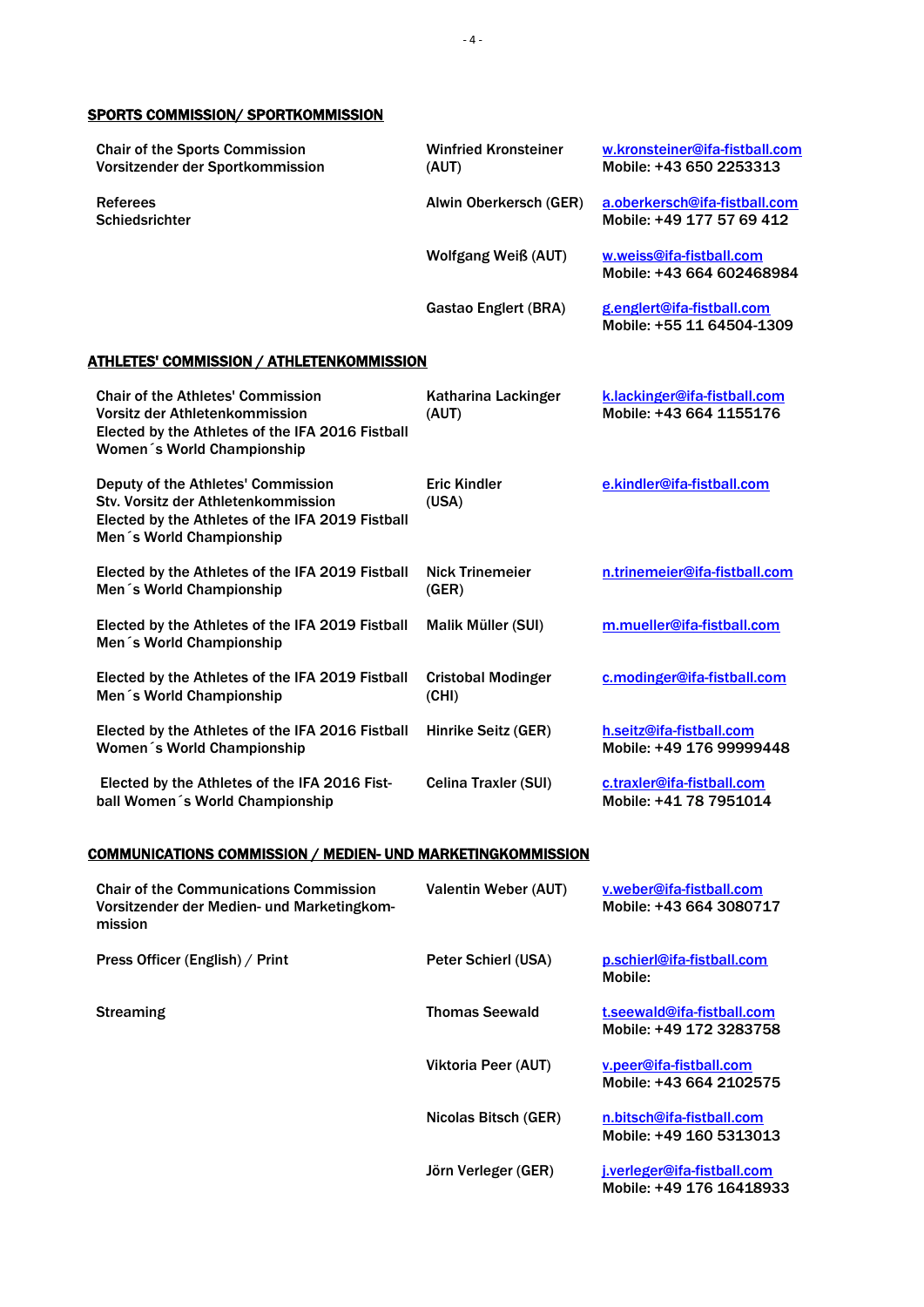#### <span id="page-3-0"></span>SPORTS COMMISSION/ SPORTKOMMISSION

<span id="page-3-1"></span>

| <b>Chair of the Sports Commission</b><br>Vorsitzender der Sportkommission                                                                                    | <b>Winfried Kronsteiner</b><br>(AUT) | w.kronsteiner@ifa-fistball.com<br>Mobile: +43 650 2253313  |
|--------------------------------------------------------------------------------------------------------------------------------------------------------------|--------------------------------------|------------------------------------------------------------|
| <b>Referees</b><br><b>Schiedsrichter</b>                                                                                                                     | Alwin Oberkersch (GER)               | a.oberkersch@ifa-fistball.com<br>Mobile: +49 177 57 69 412 |
|                                                                                                                                                              | <b>Wolfgang Weiß (AUT)</b>           | w.weiss@ifa-fistball.com<br>Mobile: +43 664 602468984      |
|                                                                                                                                                              | <b>Gastao Englert (BRA)</b>          | g.englert@ifa-fistball.com<br>Mobile: +55 11 64504-1309    |
| <u>ATHLETES' COMMISSION / ATHLETENKOMMISSION</u>                                                                                                             |                                      |                                                            |
| <b>Chair of the Athletes' Commission</b><br>Vorsitz der Athletenkommission<br>Elected by the Athletes of the IFA 2016 Fistball<br>Women's World Championship | Katharina Lackinger<br>(AUT)         | k.lackinger@ifa-fistball.com<br>Mobile: +43 664 1155176    |
| Deputy of the Athletes' Commission<br>Stv. Vorsitz der Athletenkommission<br>Elected by the Athletes of the IFA 2019 Fistball<br>Men's World Championship    | <b>Eric Kindler</b><br>(USA)         | e.kindler@ifa-fistball.com                                 |
| Elected by the Athletes of the IFA 2019 Fistball<br>Men's World Championship                                                                                 | <b>Nick Trinemeier</b><br>(GER)      | n.trinemeier@ifa-fistball.com                              |
| Elected by the Athletes of the IFA 2019 Fistball<br>Men's World Championship                                                                                 | Malik Müller (SUI)                   | m.mueller@ifa-fistball.com                                 |
| Elected by the Athletes of the IFA 2019 Fistball<br>Men's World Championship                                                                                 | <b>Cristobal Modinger</b><br>(CHI)   | c.modinger@ifa-fistball.com                                |
| Elected by the Athletes of the IFA 2016 Fistball<br>Women's World Championship                                                                               | Hinrike Seitz (GER)                  | h.seitz@ifa-fistball.com<br>Mobile: +49 176 99999448       |
| Elected by the Athletes of the IFA 2016 Fist-<br>ball Women's World Championship                                                                             | Celina Traxler (SUI)                 | c.traxler@ifa-fistball.com<br>Mobile: +41 78 7951014       |
| COMMUNICATIONS COMMISSION / MEDIEN- UND MARKETINGKOMMISSION                                                                                                  |                                      |                                                            |
| <b>Chair of the Communications Commission</b><br>Vorsitzender der Medien- und Marketingkom-<br>mission                                                       | Valentin Weber (AUT)                 | <u>v.weber@ifa-fistball.com</u><br>Mobile: +43 664 3080717 |
| Press Officer (English) / Print                                                                                                                              | Peter Schierl (USA)                  | p.schierl@ifa-fistball.com<br>Mobile:                      |
| <b>Streaming</b>                                                                                                                                             | <b>Thomas Seewald</b>                | t.seewald@ifa-fistball.com<br>Mobile: +49 172 3283758      |
|                                                                                                                                                              | Viktoria Peer (AUT)                  | v.peer@ifa-fistball.com<br>Mobile: +43 664 2102575         |
|                                                                                                                                                              | Nicolas Bitsch (GER)                 | n.bitsch@ifa-fistball.com                                  |

Mobile: +49 160 5313013

<span id="page-3-2"></span>Jörn Verleger (GER) [j.verleger@ifa-fistball.com](mailto:j.verleger@ifa-fistball.com) Mobile: +49 176 16418933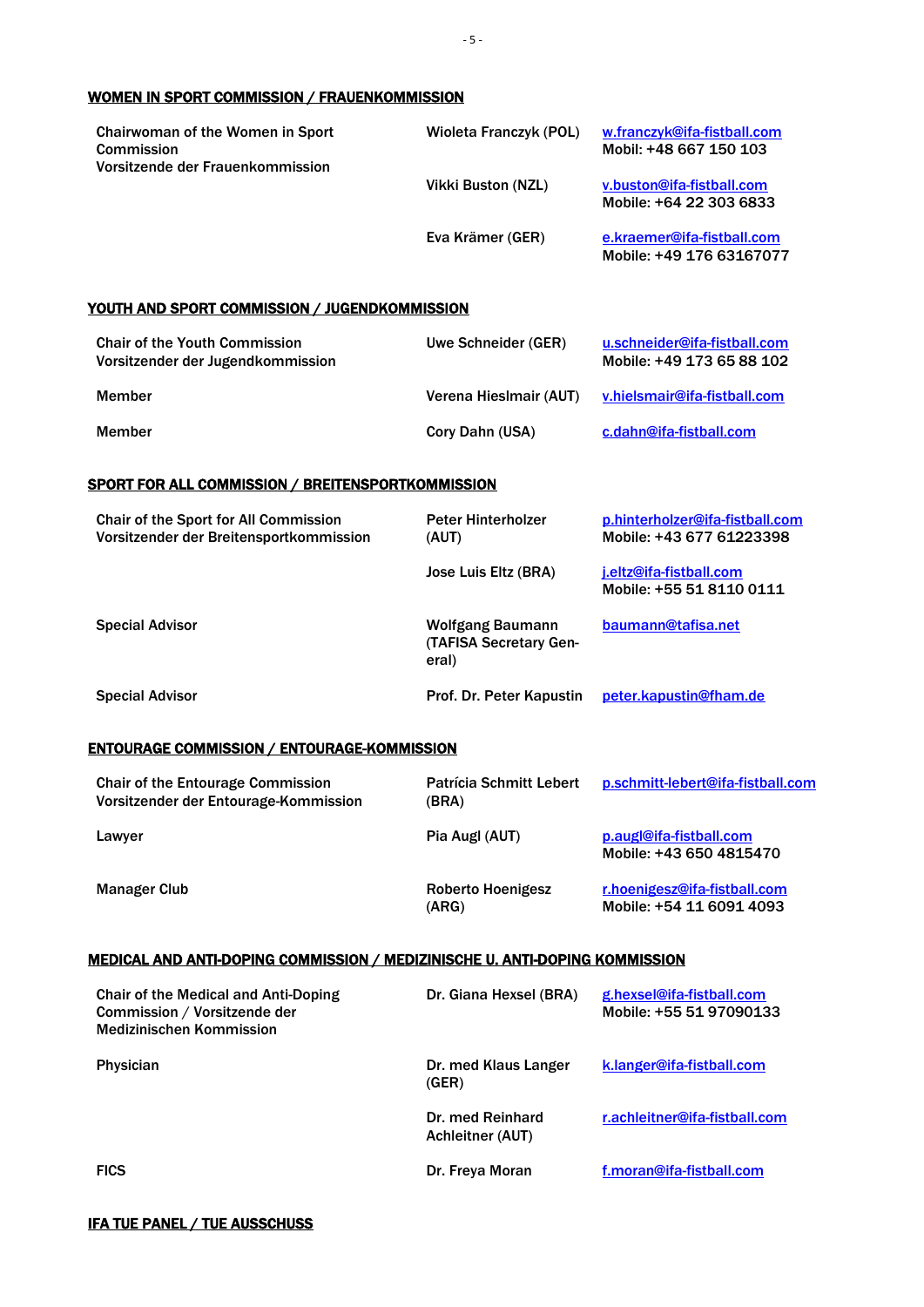#### <span id="page-4-0"></span>WOMEN IN SPORT COMMISSION / FRAUENKOMMISSION

| <b>Chairwoman of the Women in Sport</b><br>Commission<br>Vorsitzende der Frauenkommission | Wioleta Franczyk (POL) | w.franczyk@ifa-fistball.com<br>Mobil: +48 667 150 103  |
|-------------------------------------------------------------------------------------------|------------------------|--------------------------------------------------------|
|                                                                                           | Vikki Buston (NZL)     | v.buston@ifa-fistball.com<br>Mobile: +64 22 303 6833   |
|                                                                                           | Eva Krämer (GER)       | e.kraemer@ifa-fistball.com<br>Mobile: +49 176 63167077 |

#### <span id="page-4-1"></span>YOUTH AND SPORT COMMISSION / JUGENDKOMMISSION

| <b>Chair of the Youth Commission</b><br>Vorsitzender der Jugendkommission | Uwe Schneider (GER)    | u.schneider@ifa-fistball.com<br>Mobile: +49 173 65 88 102 |
|---------------------------------------------------------------------------|------------------------|-----------------------------------------------------------|
| Member                                                                    | Verena Hieslmair (AUT) | v.hielsmair@ifa-fistball.com                              |
| Member                                                                    | Cory Dahn (USA)        | c.dahn@ifa-fistball.com                                   |

#### <span id="page-4-2"></span>SPORT FOR ALL COMMISSION / BREITENSPORTKOMMISSION

| <b>Chair of the Sport for All Commission</b><br>Vorsitzender der Breitensportkommission | <b>Peter Hinterholzer</b><br>(AUT)                         | p.hinterholzer@ifa-fistball.com<br>Mobile: +43 677 61223398 |
|-----------------------------------------------------------------------------------------|------------------------------------------------------------|-------------------------------------------------------------|
|                                                                                         | Jose Luis Eltz (BRA)                                       | j.eltz@ifa-fistball.com<br>Mobile: +55 51 8110 0111         |
| <b>Special Advisor</b>                                                                  | Wolfgang Baumann<br><b>(TAFISA Secretary Gen-</b><br>eral) | baumann@tafisa.net                                          |
| <b>Special Advisor</b>                                                                  | Prof. Dr. Peter Kapustin                                   | peter.kapustin@fham.de                                      |

#### <span id="page-4-3"></span>ENTOURAGE COMMISSION / ENTOURAGE-KOMMISSION

| <b>Chair of the Entourage Commission</b><br>Vorsitzender der Entourage-Kommission | <b>Patrícia Schmitt Lebert</b><br>(BRA) | p.schmitt-lebert@ifa-fistball.com                        |
|-----------------------------------------------------------------------------------|-----------------------------------------|----------------------------------------------------------|
| Lawyer                                                                            | Pia Augl (AUT)                          | p.augl@ifa-fistball.com<br>Mobile: +43 650 4815470       |
| <b>Manager Club</b>                                                               | Roberto Hoenigesz<br>(ARG)              | r.hoenigesz@ifa-fistball.com<br>Mobile: +54 11 6091 4093 |

#### <span id="page-4-4"></span>MEDICAL AND ANTI-DOPING COMMISSION / MEDIZINISCHE U. ANTI-DOPING KOMMISSION

<span id="page-4-5"></span>

| <b>Chair of the Medical and Anti-Doping</b><br>Commission / Vorsitzende der<br><b>Medizinischen Kommission</b> | Dr. Giana Hexsel (BRA)                      | g.hexsel@ifa-fistball.com<br>Mobile: +55 51 97090133 |
|----------------------------------------------------------------------------------------------------------------|---------------------------------------------|------------------------------------------------------|
| <b>Physician</b>                                                                                               | Dr. med Klaus Langer<br>(GER)               | k.langer@ifa-fistball.com                            |
|                                                                                                                | Dr. med Reinhard<br><b>Achleitner (AUT)</b> | r.achleitner@ifa-fistball.com                        |
| <b>FICS</b>                                                                                                    | Dr. Freya Moran                             | f.moran@ifa-fistball.com                             |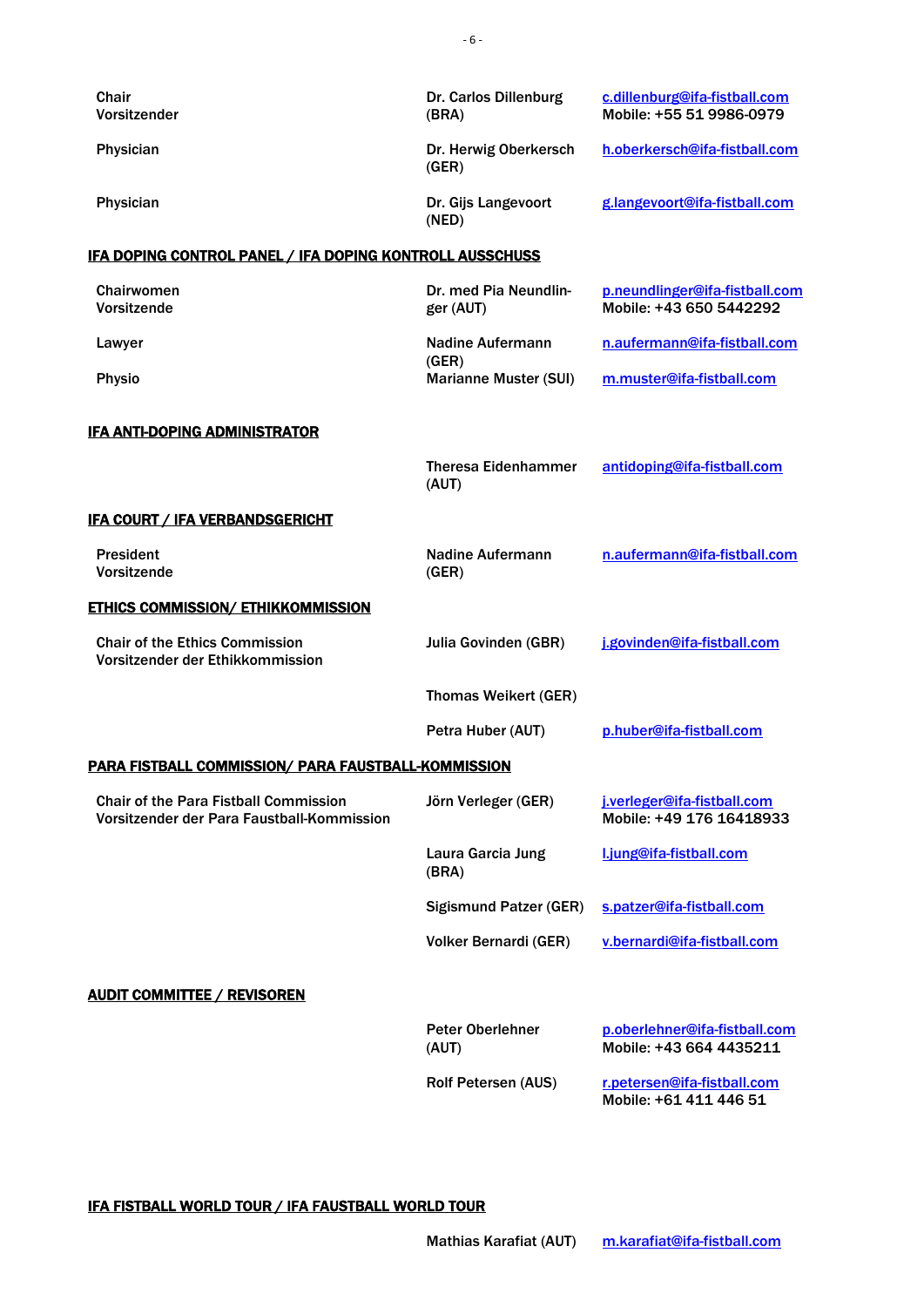<span id="page-5-3"></span><span id="page-5-2"></span><span id="page-5-1"></span><span id="page-5-0"></span>

| Chair<br>Vorsitzender                                                                      | Dr. Carlos Dillenburg<br>(BRA)        | c.dillenburg@ifa-fistball.com<br>Mobile: +55 51 9986-0979 |
|--------------------------------------------------------------------------------------------|---------------------------------------|-----------------------------------------------------------|
| Physician                                                                                  | Dr. Herwig Oberkersch<br>(GER)        | h.oberkersch@ifa-fistball.com                             |
| Physician                                                                                  | Dr. Gijs Langevoort<br>(NED)          | g.langevoort@ifa-fistball.com                             |
| IFA DOPING CONTROL PANEL / IFA DOPING KONTROLL AUSSCHUSS                                   |                                       |                                                           |
| Chairwomen<br>Vorsitzende                                                                  | Dr. med Pia Neundlin-<br>ger (AUT)    | p.neundlinger@ifa-fistball.com<br>Mobile: +43 650 5442292 |
| Lawyer                                                                                     | <b>Nadine Aufermann</b>               | n.aufermann@ifa-fistball.com                              |
| <b>Physio</b>                                                                              | (GER)<br><b>Marianne Muster (SUI)</b> | m.muster@ifa-fistball.com                                 |
| <b>IFA ANTI-DOPING ADMINISTRATOR</b>                                                       |                                       |                                                           |
|                                                                                            | <b>Theresa Eidenhammer</b><br>(AUT)   | antidoping@ifa-fistball.com                               |
| <u><b>IFA COURT / IFA VERBANDSGERICHT</b></u>                                              |                                       |                                                           |
| <b>President</b><br>Vorsitzende                                                            | Nadine Aufermann<br>(GER)             | n.aufermann@ifa-fistball.com                              |
| <b>ETHICS COMMISSION/ ETHIKKOMMISSION</b>                                                  |                                       |                                                           |
| <b>Chair of the Ethics Commission</b><br>Vorsitzender der Ethikkommission                  | Julia Govinden (GBR)                  | j.govinden@ifa-fistball.com                               |
|                                                                                            | <b>Thomas Weikert (GER)</b>           |                                                           |
|                                                                                            | Petra Huber (AUT)                     | p.huber@ifa-fistball.com                                  |
| PARA FISTBALL COMMISSION/ PARA FAUSTBALL-KOMMISSION                                        |                                       |                                                           |
| <b>Chair of the Para Fistball Commission</b><br>Vorsitzender der Para Faustball-Kommission | Jörn Verleger (GER)                   | j.verleger@ifa-fistball.com<br>Mobile: +49 176 16418933   |
|                                                                                            | Laura Garcia Jung<br>(BRA)            | l.jung@ifa-fistball.com                                   |
|                                                                                            | <b>Sigismund Patzer (GER)</b>         | s.patzer@ifa-fistball.com                                 |
|                                                                                            | Volker Bernardi (GER)                 | v.bernardi@ifa-fistball.com                               |
| <b>AUDIT COMMITTEE / REVISOREN</b>                                                         |                                       |                                                           |
|                                                                                            | <b>Peter Oberlehner</b><br>(AUT)      | p.oberlehner@ifa-fistball.com<br>Mobile: +43 664 4435211  |
|                                                                                            | Rolf Petersen (AUS)                   | r.petersen@ifa-fistball.com<br>Mobile: +61 411 446 51     |
|                                                                                            |                                       |                                                           |

<span id="page-5-6"></span><span id="page-5-5"></span><span id="page-5-4"></span>IFA FISTBALL WORLD TOUR / IFA FAUSTBALL WORLD TOUR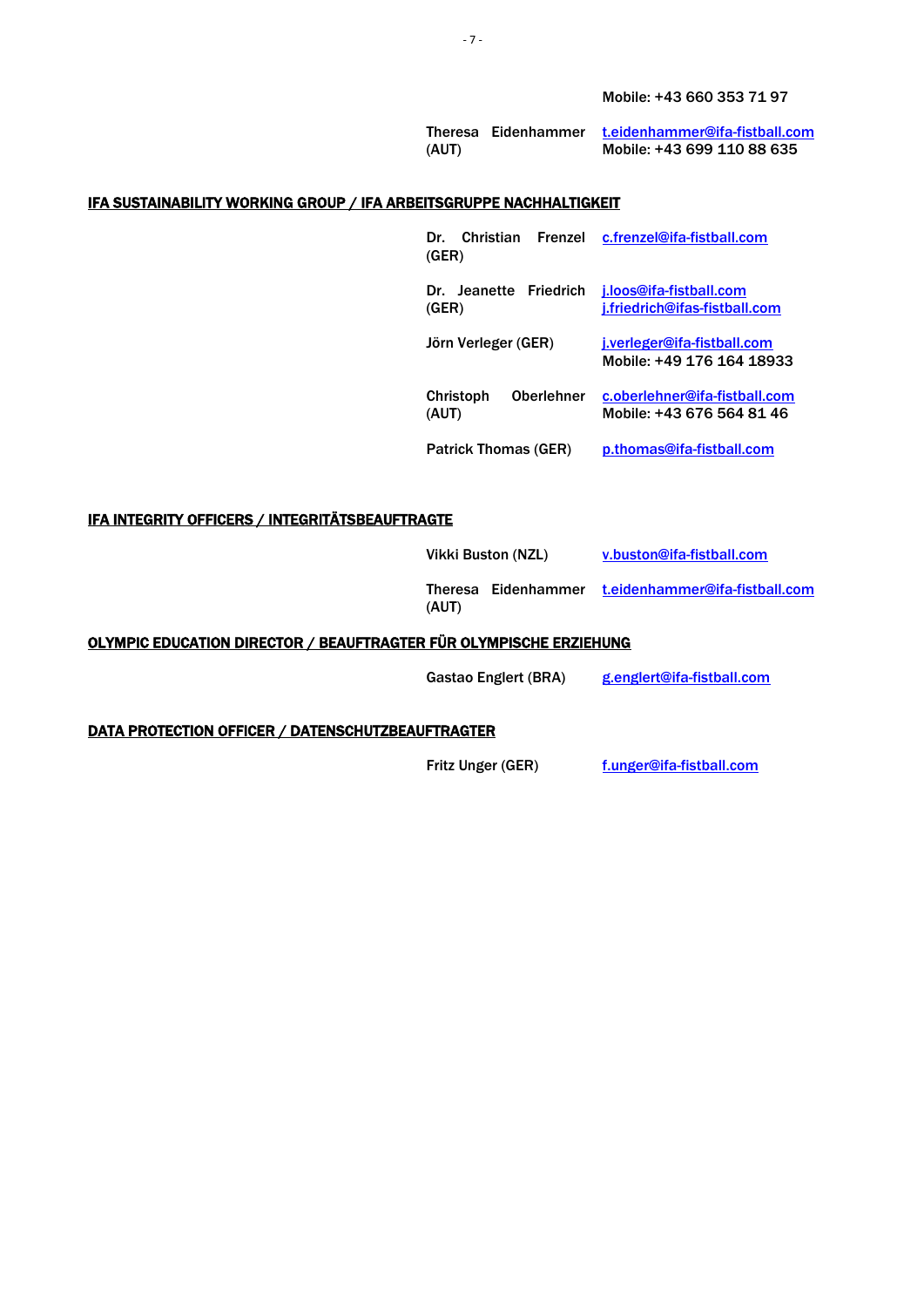Mobile: +43 660 353 71 97

Theresa Eidenhammer <u>[t.eidenhammer@ifa-fistball.com](mailto:t.eidenhammer@ifa-fistball.com)</u> (AUT) Mobile: +43 699 110 88 635

#### <span id="page-6-0"></span>IFA SUSTAINABILITY WORKING GROUP / IFA ARBEITSGRUPPE NACHHALTIGKEIT

| Christian Frenzel<br>Dr.<br>(GER)              | c.frenzel@ifa-fistball.com                                 |
|------------------------------------------------|------------------------------------------------------------|
| Jeanette Friedrich<br>Dr.<br>(GER)             | j.loos@ifa-fistball.com<br>j.friedrich@ifas-fistball.com   |
| Jörn Verleger (GER)                            | j.verleger@ifa-fistball.com<br>Mobile: +49 176 164 18933   |
| <b>Oberlehner</b><br><b>Christoph</b><br>(AUT) | c.oberlehner@ifa-fistball.com<br>Mobile: +43 676 564 81 46 |
| <b>Patrick Thomas (GER)</b>                    | p.thomas@ifa-fistball.com                                  |

#### <span id="page-6-1"></span>IFA INTEGRITY OFFICERS / INTEGRITÄTSBEAUFTRAGTE

|       | Vikki Buston (NZL) | v.buston@ifa-fistball.com                          |
|-------|--------------------|----------------------------------------------------|
| (AUT) |                    | Theresa Eidenhammer t.eidenhammer@ifa-fistball.com |

#### <span id="page-6-2"></span>OLYMPIC EDUCATION DIRECTOR / BEAUFTRAGTER FÜR OLYMPISCHE ERZIEHUNG

Gastao Englert (BRA) [g.englert@ifa-fistball.com](mailto:g.englert@ifa-fistball.com)

#### <span id="page-6-3"></span>DATA PROTECTION OFFICER / DATENSCHUTZBEAUFTRAGTER

Fritz Unger (GER) [f.unger@ifa-fistball.com](mailto:f.unger@ifa-fistball.com)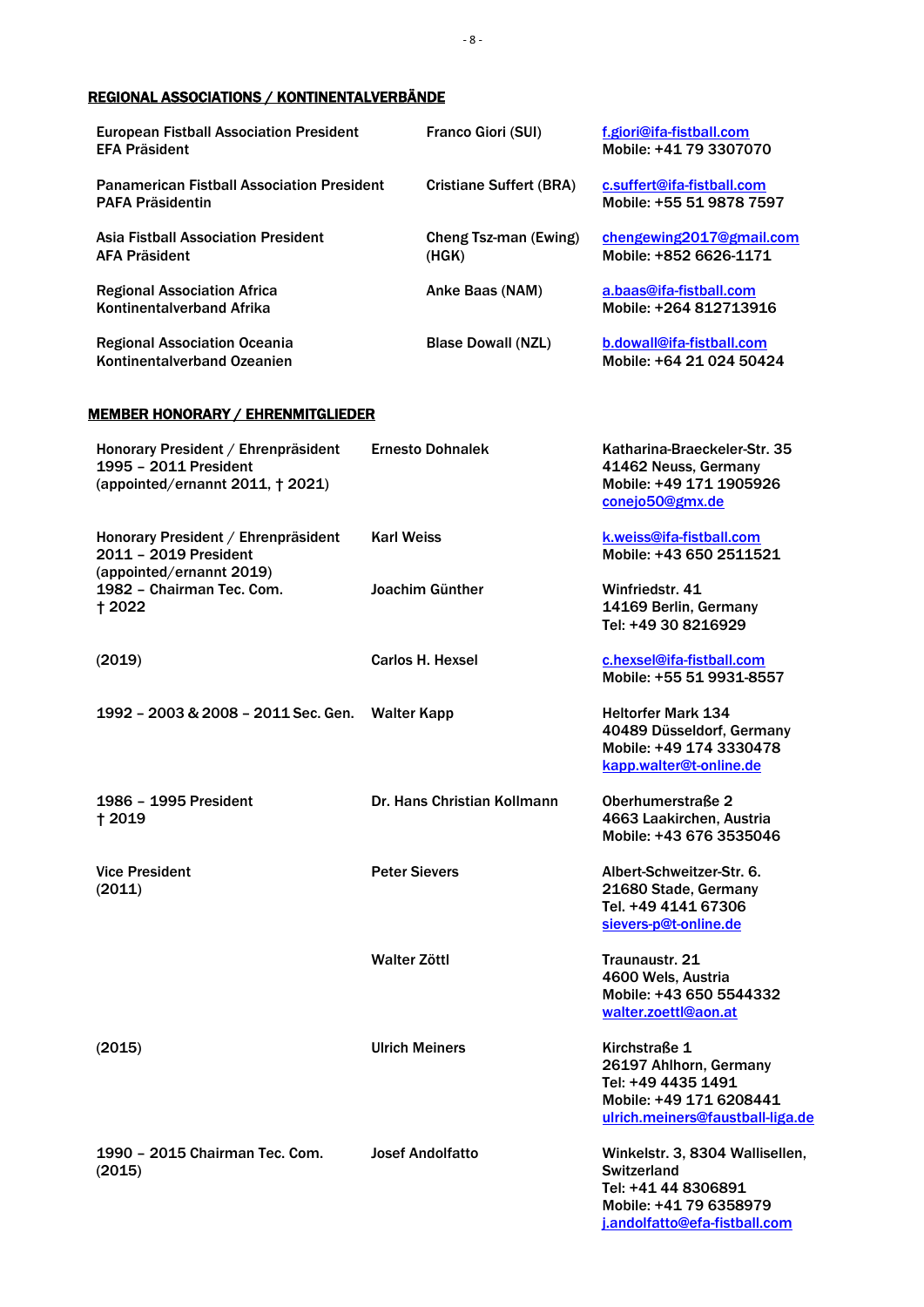## <span id="page-7-0"></span>REGIONAL ASSOCIATIONS / KONTINENTALVERBÄNDE

| <b>European Fistball Association President</b><br><b>EFA Präsident</b>       | <b>Franco Giori (SUI)</b>      | f.giori@ifa-fistball.com<br>Mobile: +41 79 3307070     |
|------------------------------------------------------------------------------|--------------------------------|--------------------------------------------------------|
| <b>Panamerican Fistball Association President</b><br><b>PAFA Präsidentin</b> | <b>Cristiane Suffert (BRA)</b> | c.suffert@ifa-fistball.com<br>Mobile: +55 51 9878 7597 |
| <b>Asia Fistball Association President</b><br><b>AFA Präsident</b>           | Cheng Tsz-man (Ewing)<br>(HGK) | chengewing2017@gmail.com<br>Mobile: +852 6626-1171     |
| <b>Regional Association Africa</b><br><b>Kontinentalverband Afrika</b>       | Anke Baas (NAM)                | a.baas@ifa-fistball.com<br>Mobile: +264 812713916      |
| <b>Regional Association Oceania</b><br>Kontinentalverband Ozeanien           | <b>Blase Dowall (NZL)</b>      | b.dowall@ifa-fistball.com<br>Mobile: +64 21 024 50424  |

#### <span id="page-7-1"></span>MEMBER HONORARY / EHRENMITGLIEDER

| Honorary President / Ehrenpräsident<br>1995 - 2011 President<br>(appointed/ernannt 2011, † 2021) | <b>Ernesto Dohnalek</b>     | Katharina-Braeckeler-Str. 35<br>41462 Neuss, Germany<br>Mobile: +49 171 1905926<br>conejo50@gmx.de                                      |
|--------------------------------------------------------------------------------------------------|-----------------------------|-----------------------------------------------------------------------------------------------------------------------------------------|
| Honorary President / Ehrenpräsident<br>2011 - 2019 President<br>(appointed/ernannt 2019)         | <b>Karl Weiss</b>           | k.weiss@ifa-fistball.com<br>Mobile: +43 650 2511521                                                                                     |
| 1982 - Chairman Tec. Com.<br>† 2022                                                              | Joachim Günther             | Winfriedstr. 41<br>14169 Berlin, Germany<br>Tel: +49 30 8216929                                                                         |
| (2019)                                                                                           | Carlos H. Hexsel            | c.hexsel@ifa-fistball.com<br>Mobile: +55 51 9931-8557                                                                                   |
| 1992 - 2003 & 2008 - 2011 Sec. Gen.                                                              | Walter Kapp                 | <b>Heltorfer Mark 134</b><br>40489 Düsseldorf, Germany<br>Mobile: +49 174 3330478<br>kapp.walter@t-online.de                            |
| 1986 - 1995 President<br>† 2019                                                                  | Dr. Hans Christian Kollmann | Oberhumerstraße 2<br>4663 Laakirchen, Austria<br>Mobile: +43 676 3535046                                                                |
| <b>Vice President</b><br>(2011)                                                                  | <b>Peter Sievers</b>        | Albert-Schweitzer-Str. 6.<br>21680 Stade, Germany<br>Tel. +49 4141 67306<br>sievers-p@t-online.de                                       |
|                                                                                                  | Walter Zöttl                | Traunaustr. 21<br>4600 Wels, Austria<br>Mobile: +43 650 5544332<br>walter.zoettl@aon.at                                                 |
| (2015)                                                                                           | <b>Ulrich Meiners</b>       | Kirchstraße 1<br>26197 Ahlhorn, Germany<br>Tel: +49 4435 1491<br>Mobile: +49 171 6208441<br>ulrich.meiners@faustball-liga.de            |
| 1990 - 2015 Chairman Tec. Com.<br>(2015)                                                         | <b>Josef Andolfatto</b>     | Winkelstr. 3, 8304 Wallisellen,<br><b>Switzerland</b><br>Tel: +41 44 8306891<br>Mobile: +41 79 6358979<br>j.andolfatto@efa-fistball.com |

- 8 -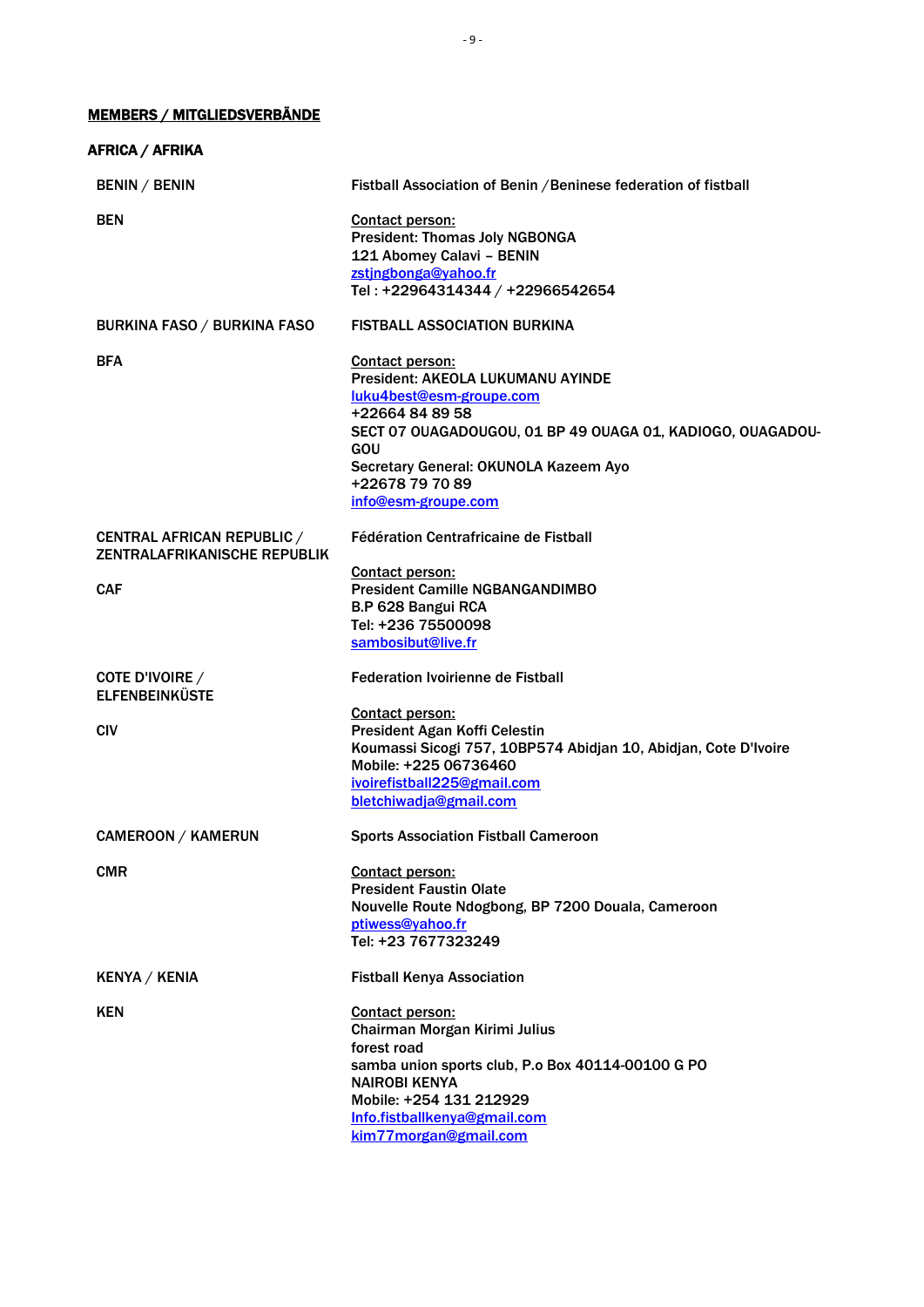## <span id="page-8-0"></span>MEMBERS / MITGLIEDSVERBÄNDE

| AFRICA / AFRIKA                                                          |                                                                                                                                                                                                                                                                    |
|--------------------------------------------------------------------------|--------------------------------------------------------------------------------------------------------------------------------------------------------------------------------------------------------------------------------------------------------------------|
| <b>BENIN / BENIN</b>                                                     | Fistball Association of Benin / Beninese federation of fistball                                                                                                                                                                                                    |
| <b>BEN</b>                                                               | <b>Contact person:</b><br><b>President: Thomas Joly NGBONGA</b><br>121 Abomey Calavi - BENIN<br>zstingbonga@yahoo.fr<br>Tel: +22964314344 / +22966542654                                                                                                           |
| <b>BURKINA FASO / BURKINA FASO</b>                                       | <b>FISTBALL ASSOCIATION BURKINA</b>                                                                                                                                                                                                                                |
| <b>BFA</b>                                                               | <b>Contact person:</b><br>President: AKEOLA LUKUMANU AYINDE<br>luku4best@esm-groupe.com<br>+22664 84 89 58<br>SECT 07 OUAGADOUGOU, 01 BP 49 OUAGA 01, KADIOGO, OUAGADOU-<br>GOU<br>Secretary General: OKUNOLA Kazeem Ayo<br>+22678 79 70 89<br>info@esm-groupe.com |
| <b>CENTRAL AFRICAN REPUBLIC /</b><br><b>ZENTRALAFRIKANISCHE REPUBLIK</b> | Fédération Centrafricaine de Fistball                                                                                                                                                                                                                              |
| <b>CAF</b>                                                               | Contact person:<br><b>President Camille NGBANGANDIMBO</b><br>B.P 628 Bangui RCA<br>Tel: +236 75500098<br>sambosibut@live.fr                                                                                                                                        |
| COTE D'IVOIRE /<br><b>ELFENBEINKÜSTE</b>                                 | <b>Federation Ivoirienne de Fistball</b>                                                                                                                                                                                                                           |
| <b>CIV</b>                                                               | Contact person:<br>President Agan Koffi Celestin<br>Koumassi Sicogi 757, 10BP574 Abidjan 10, Abidjan, Cote D'Ivoire<br>Mobile: +225 06736460<br>ivoirefistball225@gmail.com<br>bletchiwadja@gmail.com                                                              |
| <b>CAMEROON / KAMERUN</b>                                                | <b>Sports Association Fistball Cameroon</b>                                                                                                                                                                                                                        |
| <b>CMR</b>                                                               | Contact person:<br><b>President Faustin Olate</b><br>Nouvelle Route Ndogbong, BP 7200 Douala, Cameroon<br>ptiwess@yahoo.fr<br>Tel: +23 7677323249                                                                                                                  |
| <b>KENYA / KENIA</b>                                                     | <b>Fistball Kenya Association</b>                                                                                                                                                                                                                                  |
| <b>KEN</b>                                                               | <b>Contact person:</b><br>Chairman Morgan Kirimi Julius<br>forest road<br>samba union sports club, P.o Box 40114-00100 G PO<br><b>NAIROBI KENYA</b><br>Mobile: +254 131 212929<br>Info.fistballkenya@gmail.com<br>kim77morgan@gmail.com                            |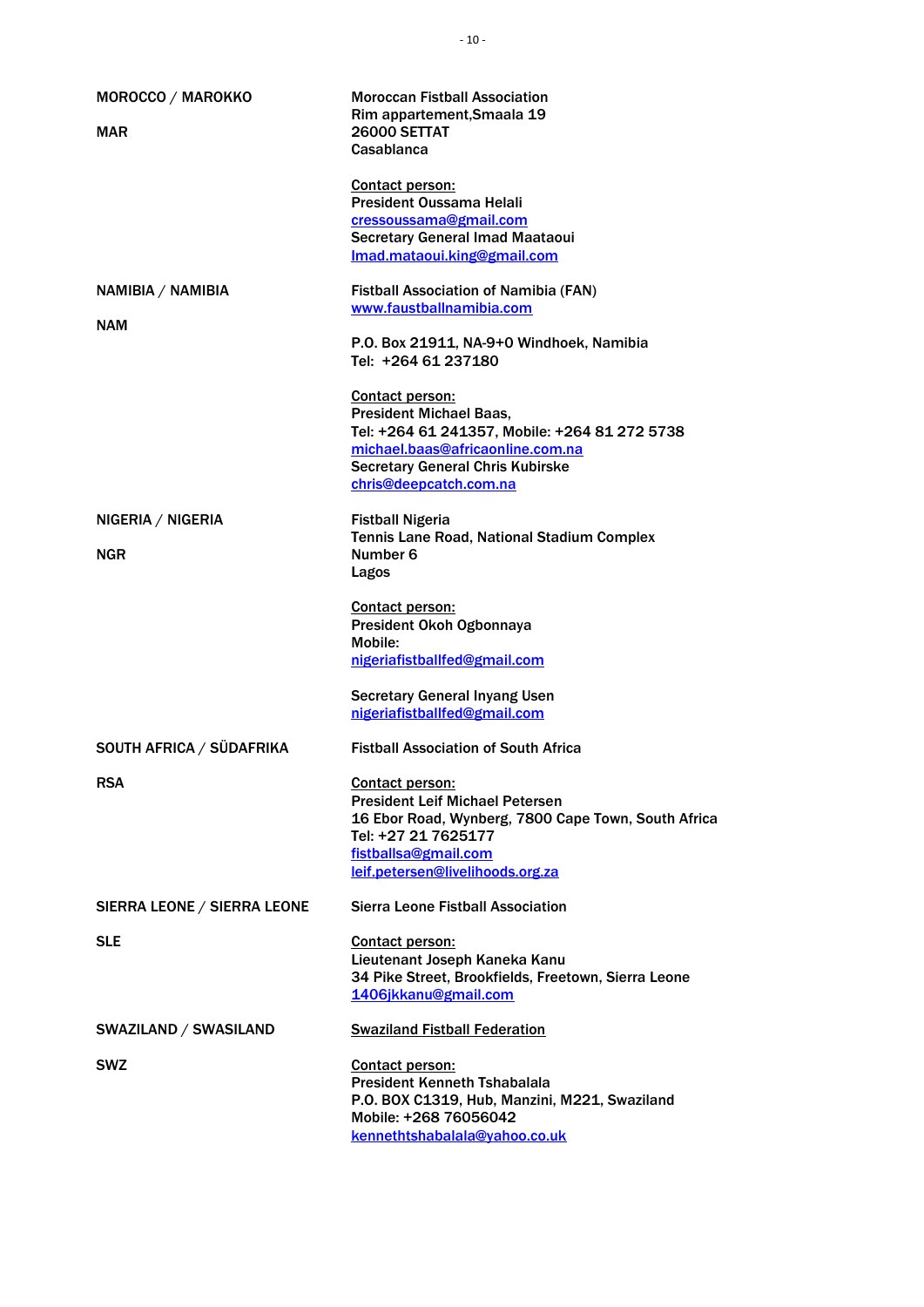| MOROCCO / MAROKKO            | <b>Moroccan Fistball Association</b>                                                 |
|------------------------------|--------------------------------------------------------------------------------------|
|                              | Rim appartement, Smaala 19                                                           |
| <b>MAR</b>                   | <b>26000 SETTAT</b><br>Casablanca                                                    |
|                              |                                                                                      |
|                              | Contact person:                                                                      |
|                              | <b>President Oussama Helali</b>                                                      |
|                              | cressoussama@gmail.com                                                               |
|                              | <b>Secretary General Imad Maataoui</b><br>Imad.mataoui.king@gmail.com                |
|                              |                                                                                      |
| NAMIBIA / NAMIBIA            | <b>Fistball Association of Namibia (FAN)</b>                                         |
|                              | www.faustballnamibia.com                                                             |
| <b>NAM</b>                   |                                                                                      |
|                              | P.O. Box 21911, NA-9+0 Windhoek, Namibia<br>Tel: +264 61 237180                      |
|                              |                                                                                      |
|                              | <b>Contact person:</b>                                                               |
|                              | <b>President Michael Baas,</b>                                                       |
|                              | Tel: +264 61 241357, Mobile: +264 81 272 5738                                        |
|                              | michael.baas@africaonline.com.na                                                     |
|                              | <b>Secretary General Chris Kubirske</b>                                              |
|                              | chris@deepcatch.com.na                                                               |
| NIGERIA / NIGERIA            | <b>Fistball Nigeria</b>                                                              |
|                              | Tennis Lane Road, National Stadium Complex                                           |
| <b>NGR</b>                   | Number 6                                                                             |
|                              | Lagos                                                                                |
|                              |                                                                                      |
|                              | <b>Contact person:</b>                                                               |
|                              | President Okoh Ogbonnaya<br>Mobile:                                                  |
|                              | nigeriafistballfed@gmail.com                                                         |
|                              |                                                                                      |
|                              | <b>Secretary General Inyang Usen</b>                                                 |
|                              | nigeriafistballfed@gmail.com                                                         |
| SOUTH AFRICA / SÜDAFRIKA     | <b>Fistball Association of South Africa</b>                                          |
|                              |                                                                                      |
| <b>RSA</b>                   | Contact person:                                                                      |
|                              | <b>President Leif Michael Petersen</b>                                               |
|                              | 16 Ebor Road, Wynberg, 7800 Cape Town, South Africa                                  |
|                              | Tel: +27 21 7625177                                                                  |
|                              | fistballsa@gmail.com<br>leif.petersen@livelihoods.org.za                             |
|                              |                                                                                      |
| SIERRA LEONE / SIERRA LEONE  | <b>Sierra Leone Fistball Association</b>                                             |
|                              |                                                                                      |
| <b>SLE</b>                   | <b>Contact person:</b>                                                               |
|                              | Lieutenant Joseph Kaneka Kanu<br>34 Pike Street, Brookfields, Freetown, Sierra Leone |
|                              | 1406jkkanu@gmail.com                                                                 |
|                              |                                                                                      |
| <b>SWAZILAND / SWASILAND</b> | <b>Swaziland Fistball Federation</b>                                                 |
|                              |                                                                                      |
| <b>SWZ</b>                   | <b>Contact person:</b><br><b>President Kenneth Tshabalala</b>                        |
|                              | P.O. BOX C1319, Hub, Manzini, M221, Swaziland                                        |
|                              | Mobile: +268 76056042                                                                |
|                              | kennethtshabalala@yahoo.co.uk                                                        |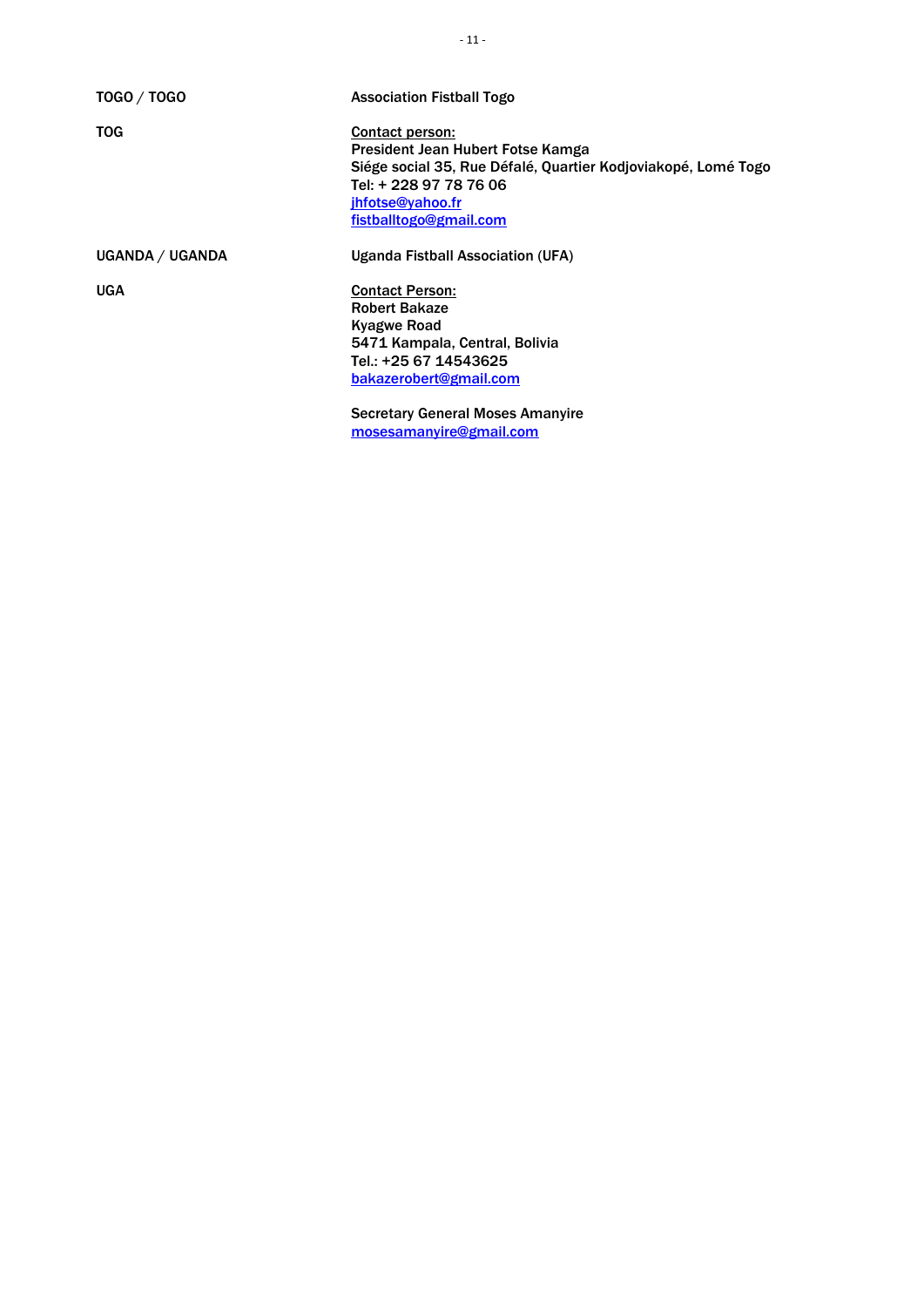| <b>TOGO / TOGO</b> | <b>Association Fistball Togo</b>                              |
|--------------------|---------------------------------------------------------------|
| <b>TOG</b>         | Contact person:                                               |
|                    | President Jean Hubert Fotse Kamga                             |
|                    | Siége social 35, Rue Défalé, Quartier Kodjoviakopé, Lomé Togo |
|                    | Tel: + 228 97 78 76 06                                        |
|                    | jhfotse@yahoo.fr                                              |
|                    | fistballtogo@gmail.com                                        |
| UGANDA / UGANDA    | Uganda Fistball Association (UFA)                             |
| <b>UGA</b>         | <b>Contact Person:</b>                                        |
|                    | <b>Robert Bakaze</b>                                          |
|                    | <b>Kyagwe Road</b>                                            |
|                    | 5471 Kampala, Central, Bolivia                                |
|                    | Tel.: +25 67 14543625                                         |
|                    | bakazerobert@gmail.com                                        |
|                    | <b>Secretary General Moses Amanyire</b>                       |

[mosesamanyire@gmail.com](mailto:mosesamanyire@gmail.com)

- 11 -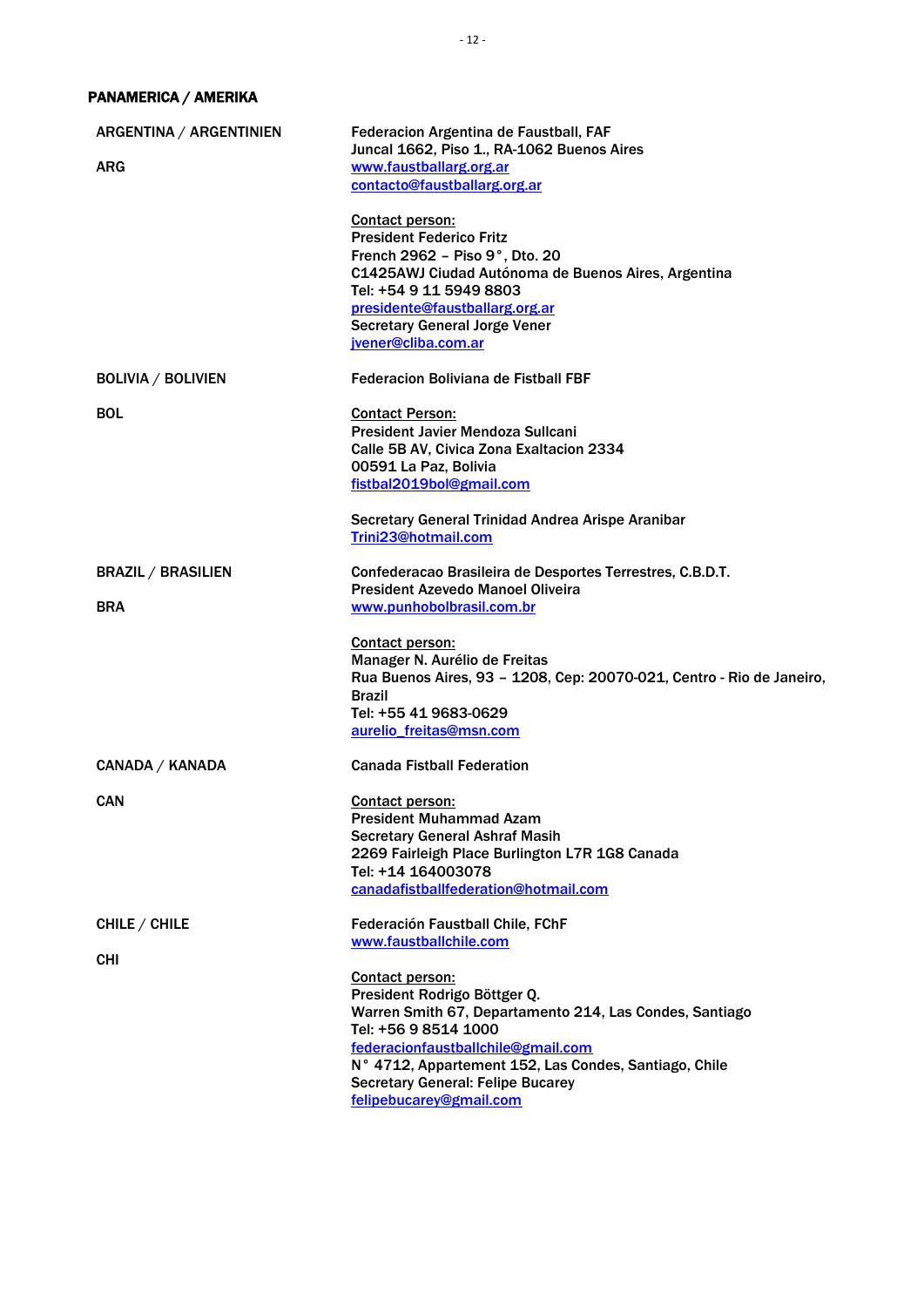## PANAMERICA / AMERIKA

| ARGENTINA / ARGENTINIEN<br><b>ARG</b>   | Federacion Argentina de Faustball, FAF<br>Juncal 1662, Piso 1., RA-1062 Buenos Aires<br>www.faustballarg.org.ar<br>contacto@faustballarg.org.ar<br>Contact person:<br><b>President Federico Fritz</b><br>French 2962 - Piso 9°, Dto. 20<br>C1425AWJ Ciudad Autónoma de Buenos Aires, Argentina<br>Tel: +54 9 11 5949 8803<br>presidente@faustballarg.org.ar<br><b>Secretary General Jorge Vener</b> |
|-----------------------------------------|-----------------------------------------------------------------------------------------------------------------------------------------------------------------------------------------------------------------------------------------------------------------------------------------------------------------------------------------------------------------------------------------------------|
| <b>BOLIVIA / BOLIVIEN</b>               | jvener@cliba.com.ar<br><b>Federacion Boliviana de Fistball FBF</b>                                                                                                                                                                                                                                                                                                                                  |
| <b>BOL</b>                              | <b>Contact Person:</b><br>President Javier Mendoza Sullcani<br>Calle 5B AV, Civica Zona Exaltacion 2334<br>00591 La Paz, Bolivia<br>fistbal2019bol@gmail.com<br>Secretary General Trinidad Andrea Arispe Aranibar<br>Trini23@hotmail.com                                                                                                                                                            |
| <b>BRAZIL / BRASILIEN</b><br><b>BRA</b> | Confederacao Brasileira de Desportes Terrestres, C.B.D.T.<br><b>President Azevedo Manoel Oliveira</b><br>www.punhobolbrasil.com.br                                                                                                                                                                                                                                                                  |
|                                         | <b>Contact person:</b><br>Manager N. Aurélio de Freitas<br>Rua Buenos Aires, 93 - 1208, Cep: 20070-021, Centro - Rio de Janeiro,<br><b>Brazil</b><br>Tel: +55 41 9683-0629<br>aurelio freitas@msn.com                                                                                                                                                                                               |
| CANADA / KANADA                         | <b>Canada Fistball Federation</b>                                                                                                                                                                                                                                                                                                                                                                   |
| <b>CAN</b>                              | <b>Contact person:</b><br><b>President Muhammad Azam</b><br><b>Secretary General Ashraf Masih</b><br>2269 Fairleigh Place Burlington L7R 1G8 Canada<br>Tel: +14 164003078<br>canadafistballfederation@hotmail.com                                                                                                                                                                                   |
| CHILE / CHILE                           | Federación Faustball Chile, FChF<br>www.faustballchile.com                                                                                                                                                                                                                                                                                                                                          |
| <b>CHI</b>                              | Contact person:<br>President Rodrigo Böttger Q.<br>Warren Smith 67, Departamento 214, Las Condes, Santiago<br>Tel: +56 9 8514 1000<br>federacionfaustballchile@gmail.com<br>N° 4712, Appartement 152, Las Condes, Santiago, Chile<br><b>Secretary General: Felipe Bucarey</b><br>felipebucarey@gmail.com                                                                                            |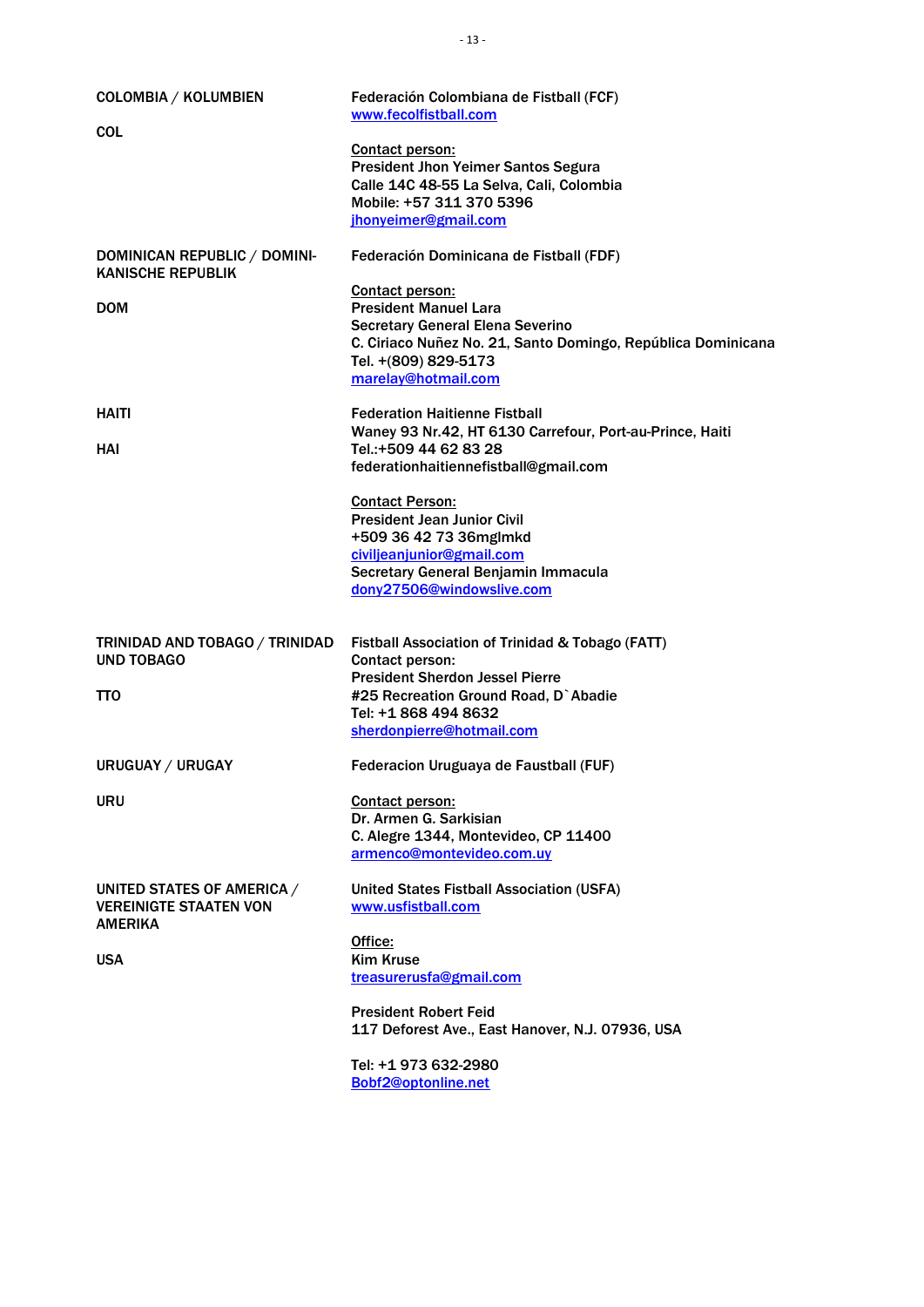| COLOMBIA / KOLUMBIEN<br><b>COL</b>                                                   | Federación Colombiana de Fistball (FCF)<br>www.fecolfistball.com                                                                                                                                                 |
|--------------------------------------------------------------------------------------|------------------------------------------------------------------------------------------------------------------------------------------------------------------------------------------------------------------|
|                                                                                      | <b>Contact person:</b><br><b>President Jhon Yeimer Santos Segura</b><br>Calle 14C 48-55 La Selva, Cali, Colombia<br>Mobile: +57 311 370 5396<br>jhonyeimer@gmail.com                                             |
| DOMINICAN REPUBLIC / DOMINI-<br><b>KANISCHE REPUBLIK</b>                             | Federación Dominicana de Fistball (FDF)                                                                                                                                                                          |
| <b>DOM</b>                                                                           | <b>Contact person:</b><br><b>President Manuel Lara</b><br><b>Secretary General Elena Severino</b><br>C. Ciriaco Nuñez No. 21, Santo Domingo, República Dominicana<br>Tel. +(809) 829-5173<br>marelay@hotmail.com |
| <b>HAITI</b><br>HAI                                                                  | <b>Federation Haitienne Fistball</b><br>Waney 93 Nr.42, HT 6130 Carrefour, Port-au-Prince, Haiti<br>Tel.:+509 44 62 83 28<br>federationhaitiennefistball@gmail.com                                               |
|                                                                                      | <b>Contact Person:</b><br><b>President Jean Junior Civil</b><br>+509 36 42 73 36mglmkd<br>civiljeanjunior@gmail.com<br>Secretary General Benjamin Immacula<br>dony27506@windowslive.com                          |
| TRINIDAD AND TOBAGO / TRINIDAD<br><b>UND TOBAGO</b><br><b>TTO</b>                    | Fistball Association of Trinidad & Tobago (FATT)<br>Contact person:<br><b>President Sherdon Jessel Pierre</b><br>#25 Recreation Ground Road, D`Abadie<br>Tel: +1 868 494 8632                                    |
| URUGUAY / URUGAY                                                                     | sherdonpierre@hotmail.com<br>Federacion Uruguaya de Faustball (FUF)                                                                                                                                              |
| <b>URU</b>                                                                           | Contact person:<br>Dr. Armen G. Sarkisian<br>C. Alegre 1344, Montevideo, CP 11400<br>armenco@montevideo.com.uy                                                                                                   |
| UNITED STATES OF AMERICA /<br><b>VEREINIGTE STAATEN VON</b><br>AMERIKA<br><b>USA</b> | <b>United States Fistball Association (USFA)</b><br>www.usfistball.com<br>Office:<br><b>Kim Kruse</b><br>treasurerusfa@gmail.com                                                                                 |
|                                                                                      | <b>President Robert Feid</b><br>117 Deforest Ave., East Hanover, N.J. 07936, USA                                                                                                                                 |
|                                                                                      | Tel: +1 973 632-2980<br>Bobf2@optonline.net                                                                                                                                                                      |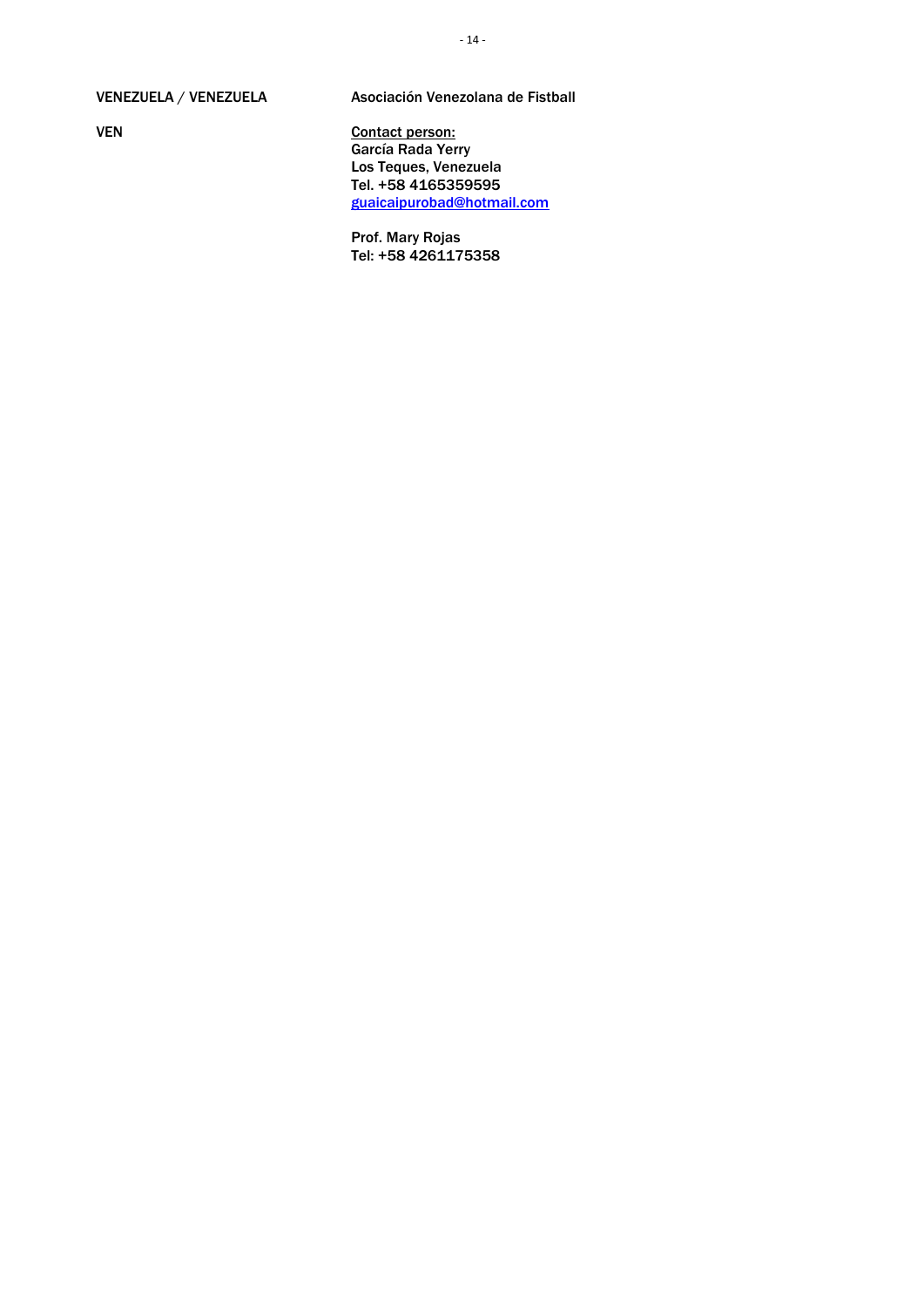#### VENEZUELA / VENEZUELA

VEN

Asociación Venezolana de Fistball

Contact person: García Rada Yerry Los Teques, Venezuela Tel. +58 4165359595 [guaicaipurobad@hotmail.com](mailto:guaicaipurobad@hotmail.com)

Prof. Mary Rojas Tel: +58 4261175358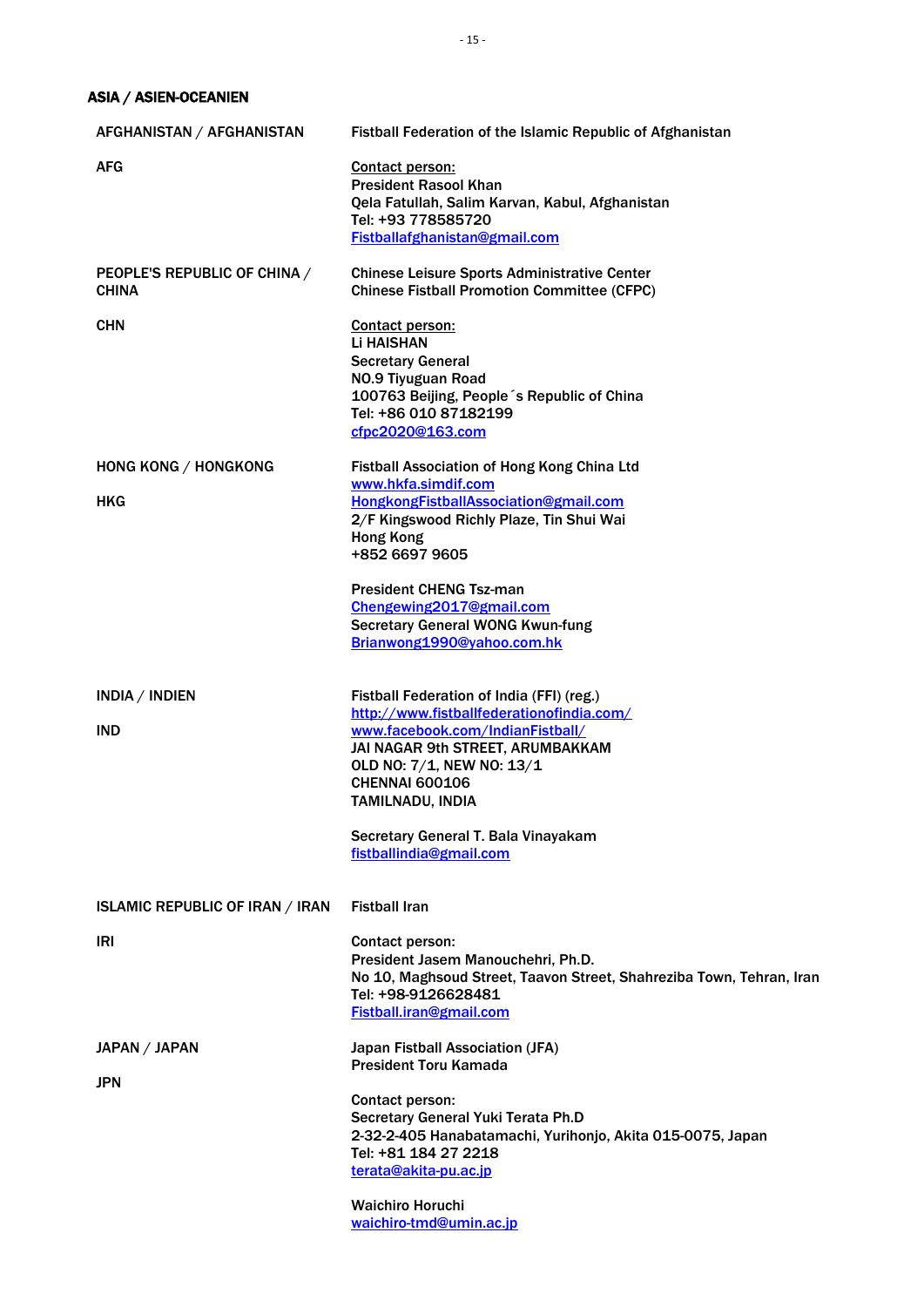ASIA / ASIEN-OCEANIEN

| AFGHANISTAN / AFGHANISTAN                    | Fistball Federation of the Islamic Republic of Afghanistan                                                                                                                                                                                                                                                 |
|----------------------------------------------|------------------------------------------------------------------------------------------------------------------------------------------------------------------------------------------------------------------------------------------------------------------------------------------------------------|
| <b>AFG</b>                                   | Contact person:<br><b>President Rasool Khan</b><br>Qela Fatullah, Salim Karvan, Kabul, Afghanistan<br>Tel: +93 778585720<br>Fistballafghanistan@gmail.com                                                                                                                                                  |
| PEOPLE'S REPUBLIC OF CHINA /<br><b>CHINA</b> | <b>Chinese Leisure Sports Administrative Center</b><br><b>Chinese Fistball Promotion Committee (CFPC)</b>                                                                                                                                                                                                  |
| <b>CHN</b>                                   | <b>Contact person:</b><br><b>Li HAISHAN</b><br><b>Secretary General</b><br>NO.9 Tiyuguan Road<br>100763 Beijing, People 's Republic of China<br>Tel: +86 010 87182199<br>cfpc2020@163.com                                                                                                                  |
| HONG KONG / HONGKONG<br><b>HKG</b>           | Fistball Association of Hong Kong China Ltd<br>www.hkfa.simdif.com<br>HongkongFistballAssociation@gmail.com<br>2/F Kingswood Richly Plaze, Tin Shui Wai<br><b>Hong Kong</b><br>+852 6697 9605                                                                                                              |
|                                              | <b>President CHENG Tsz-man</b><br>Chengewing2017@gmail.com<br><b>Secretary General WONG Kwun-fung</b><br>Brianwong1990@yahoo.com.hk                                                                                                                                                                        |
| INDIA / INDIEN<br><b>IND</b>                 | Fistball Federation of India (FFI) (reg.)<br>http://www.fistballfederationofindia.com/<br>www.facebook.com/IndianFistball/<br>JAI NAGAR 9th STREET, ARUMBAKKAM<br>OLD NO: 7/1, NEW NO: 13/1<br><b>CHENNAI 600106</b><br>TAMILNADU, INDIA<br>Secretary General T. Bala Vinayakam<br>fistballindia@gmail.com |
| <b>ISLAMIC REPUBLIC OF IRAN / IRAN</b>       | <b>Fistball Iran</b>                                                                                                                                                                                                                                                                                       |
| IRI                                          | Contact person:<br>President Jasem Manouchehri, Ph.D.<br>No 10, Maghsoud Street, Taavon Street, Shahreziba Town, Tehran, Iran<br>Tel: +98-9126628481<br>Fistball.iran@gmail.com                                                                                                                            |
| JAPAN / JAPAN<br>JPN                         | Japan Fistball Association (JFA)<br><b>President Toru Kamada</b>                                                                                                                                                                                                                                           |
|                                              | Contact person:<br>Secretary General Yuki Terata Ph.D<br>2-32-2-405 Hanabatamachi, Yurihonjo, Akita 015-0075, Japan<br>Tel: +81 184 27 2218<br>terata@akita-pu.ac.jp                                                                                                                                       |
|                                              | <b>Waichiro Horuchi</b><br>waichiro-tmd@umin.ac.jp                                                                                                                                                                                                                                                         |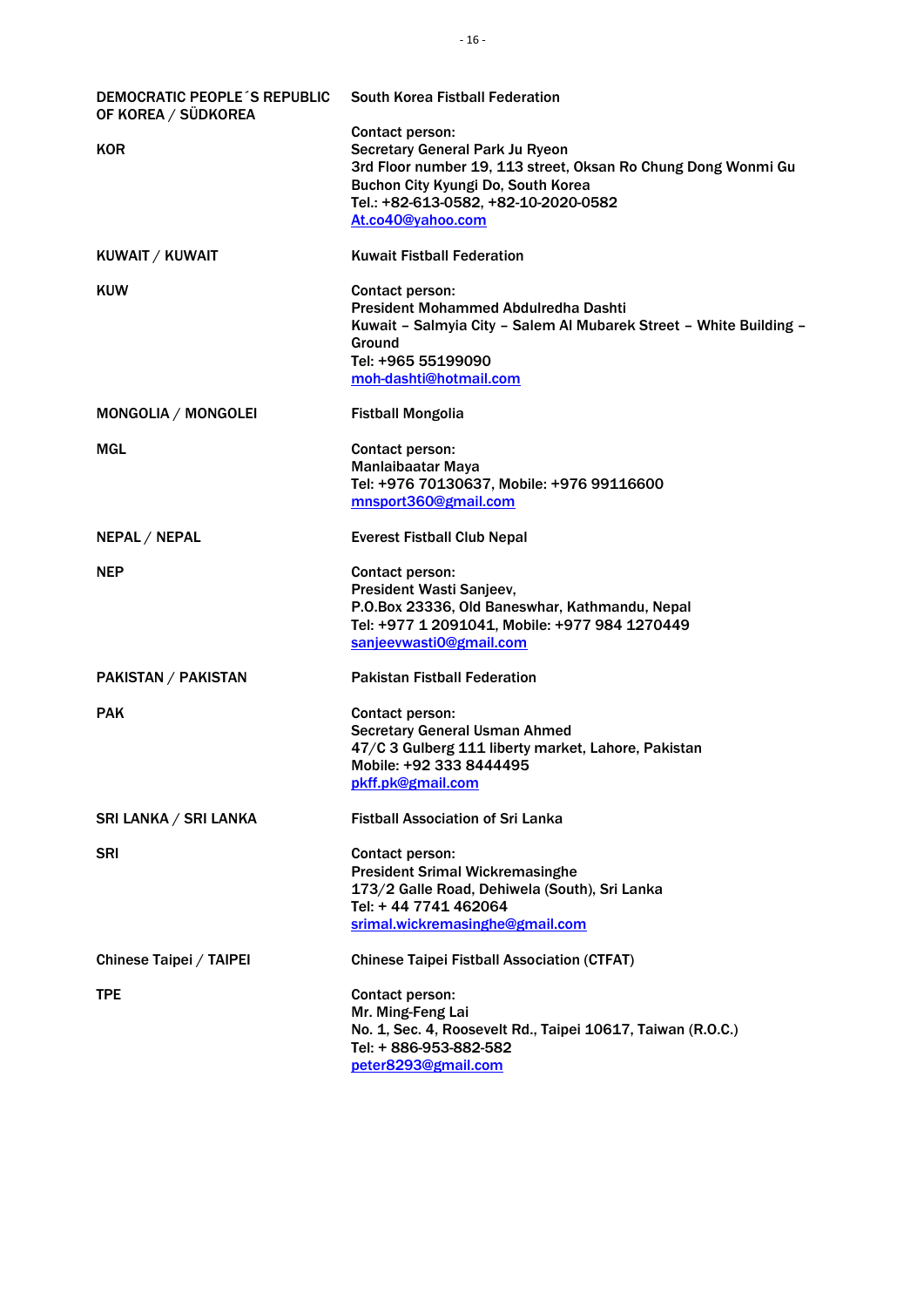| DEMOCRATIC PEOPLE'S REPUBLIC<br>OF KOREA / SÜDKOREA | <b>South Korea Fistball Federation</b>                             |
|-----------------------------------------------------|--------------------------------------------------------------------|
|                                                     | Contact person:                                                    |
| <b>KOR</b>                                          | Secretary General Park Ju Ryeon                                    |
|                                                     | 3rd Floor number 19, 113 street, Oksan Ro Chung Dong Wonmi Gu      |
|                                                     | Buchon City Kyungi Do, South Korea                                 |
|                                                     | Tel.: +82-613-0582, +82-10-2020-0582                               |
|                                                     | At.co40@yahoo.com                                                  |
| KUWAIT / KUWAIT                                     | <b>Kuwait Fistball Federation</b>                                  |
| <b>KUW</b>                                          | Contact person:                                                    |
|                                                     | President Mohammed Abdulredha Dashti                               |
|                                                     | Kuwait - Salmyia City - Salem Al Mubarek Street - White Building - |
|                                                     | Ground                                                             |
|                                                     | Tel: +965 55199090                                                 |
|                                                     | moh-dashti@hotmail.com                                             |
|                                                     |                                                                    |
| MONGOLIA / MONGOLEI                                 | <b>Fistball Mongolia</b>                                           |
| MGL                                                 | Contact person:                                                    |
|                                                     | <b>Manlaibaatar Maya</b>                                           |
|                                                     | Tel: +976 70130637, Mobile: +976 99116600                          |
|                                                     | mnsport360@gmail.com                                               |
|                                                     |                                                                    |
| <b>NEPAL / NEPAL</b>                                | <b>Everest Fistball Club Nepal</b>                                 |
| <b>NEP</b>                                          | Contact person:                                                    |
|                                                     | President Wasti Sanjeev,                                           |
|                                                     | P.O.Box 23336, Old Baneswhar, Kathmandu, Nepal                     |
|                                                     | Tel: +977 1 2091041, Mobile: +977 984 1270449                      |
|                                                     | sanjeevwasti0@gmail.com                                            |
|                                                     |                                                                    |
| PAKISTAN / PAKISTAN                                 | <b>Pakistan Fistball Federation</b>                                |
| <b>PAK</b>                                          | Contact person:                                                    |
|                                                     | <b>Secretary General Usman Ahmed</b>                               |
|                                                     | 47/C 3 Gulberg 111 liberty market, Lahore, Pakistan                |
|                                                     | Mobile: +92 333 8444495                                            |
|                                                     | pkff.pk@gmail.com                                                  |
|                                                     |                                                                    |
| SRI LANKA / SRI LANKA                               | <b>Fistball Association of Sri Lanka</b>                           |
| <b>SRI</b>                                          | Contact person:                                                    |
|                                                     | <b>President Srimal Wickremasinghe</b>                             |
|                                                     | 173/2 Galle Road, Dehiwela (South), Sri Lanka                      |
|                                                     | Tel: +44 7741 462064                                               |
|                                                     | srimal.wickremasinghe@gmail.com                                    |
|                                                     |                                                                    |
| Chinese Taipei / TAIPEI                             | <b>Chinese Taipei Fistball Association (CTFAT)</b>                 |
| <b>TPE</b>                                          | Contact person:                                                    |
|                                                     | Mr. Ming-Feng Lai                                                  |
|                                                     | No. 1, Sec. 4, Roosevelt Rd., Taipei 10617, Taiwan (R.O.C.)        |
|                                                     | Tel: + 886-953-882-582                                             |
|                                                     | peter8293@gmail.com                                                |
|                                                     |                                                                    |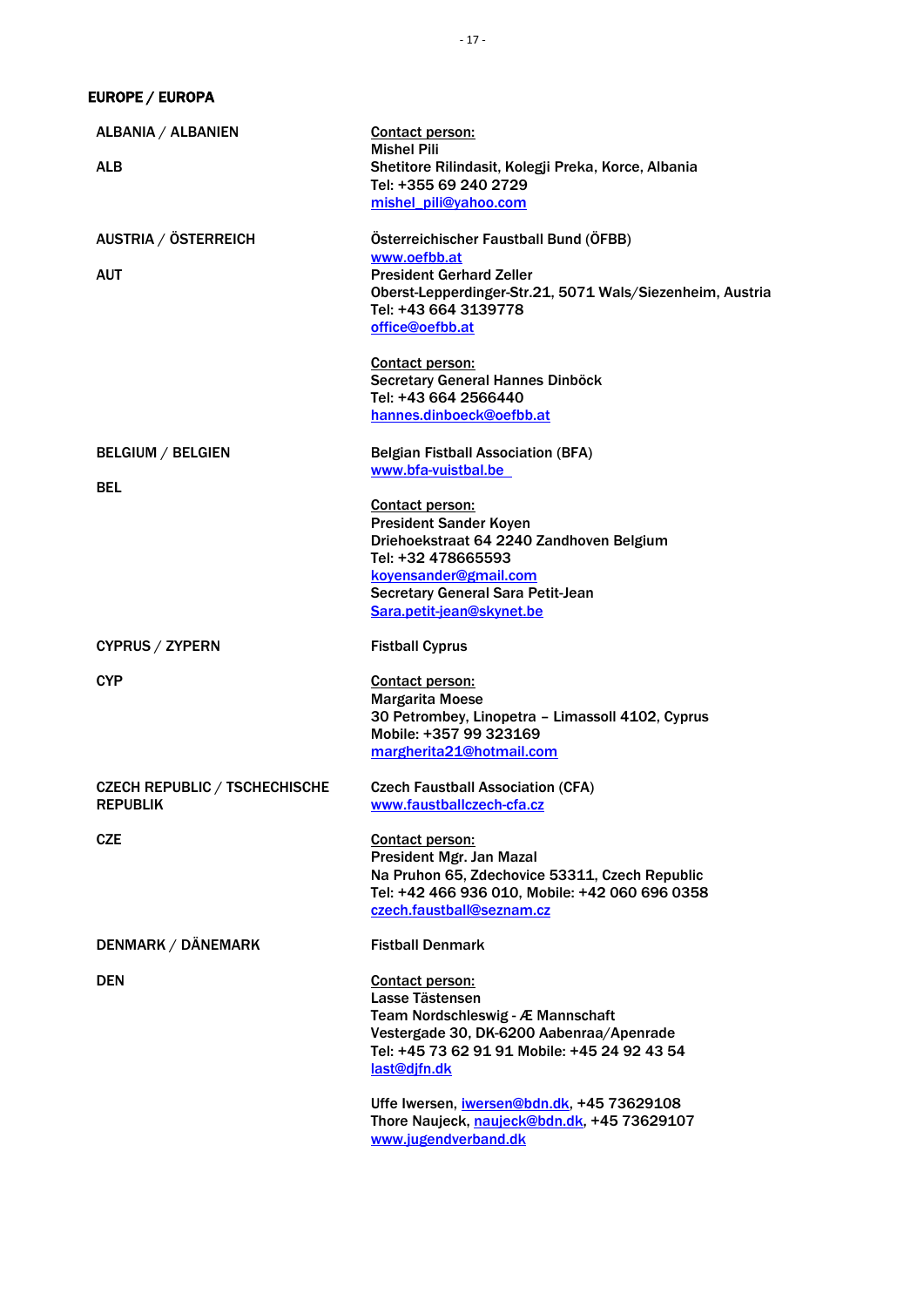EUROPE / EUROPA

| ALBANIA / ALBANIEN                                      | Contact person:<br><b>Mishel Pili</b>                                                                                                                                                                         |
|---------------------------------------------------------|---------------------------------------------------------------------------------------------------------------------------------------------------------------------------------------------------------------|
| <b>ALB</b>                                              | Shetitore Rilindasit, Kolegji Preka, Korce, Albania<br>Tel: +355 69 240 2729<br>mishel_pili@yahoo.com                                                                                                         |
| AUSTRIA / ÖSTERREICH                                    | Österreichischer Faustball Bund (ÖFBB)                                                                                                                                                                        |
| AUT                                                     | www.oefbb.at<br><b>President Gerhard Zeller</b><br>Oberst-Lepperdinger-Str.21, 5071 Wals/Siezenheim, Austria<br>Tel: +43 664 3139778<br>office@oefbb.at                                                       |
|                                                         | <b>Contact person:</b><br>Secretary General Hannes Dinböck<br>Tel: +43 664 2566440<br>hannes.dinboeck@oefbb.at                                                                                                |
| <b>BELGIUM / BELGIEN</b><br><b>BEL</b>                  | <b>Belgian Fistball Association (BFA)</b><br>www.bfa-vuistbal.be                                                                                                                                              |
|                                                         | Contact person:<br><b>President Sander Koyen</b><br>Driehoekstraat 64 2240 Zandhoven Belgium<br>Tel: +32 478665593<br>koyensander@gmail.com<br>Secretary General Sara Petit-Jean<br>Sara.petit-jean@skynet.be |
| <b>CYPRUS / ZYPERN</b>                                  | <b>Fistball Cyprus</b>                                                                                                                                                                                        |
| <b>CYP</b>                                              | Contact person:<br><b>Margarita Moese</b><br>30 Petrombey, Linopetra - Limassoll 4102, Cyprus<br>Mobile: +357 99 323169<br>margherita21@hotmail.com                                                           |
| <b>CZECH REPUBLIC / TSCHECHISCHE</b><br><b>REPUBLIK</b> | <b>Czech Faustball Association (CFA)</b><br>www.faustballczech-cfa.cz                                                                                                                                         |
| <b>CZE</b>                                              | <b>Contact person:</b><br>President Mgr. Jan Mazal<br>Na Pruhon 65, Zdechovice 53311, Czech Republic<br>Tel: +42 466 936 010, Mobile: +42 060 696 0358<br>czech.faustball@seznam.cz                           |
| <b>DENMARK / DÄNEMARK</b>                               | <b>Fistball Denmark</b>                                                                                                                                                                                       |
| <b>DEN</b>                                              | Contact person:<br>Lasse Tästensen<br>Team Nordschleswig - Æ Mannschaft<br>Vestergade 30, DK-6200 Aabenraa/Apenrade<br>Tel: +45 73 62 91 91 Mobile: +45 24 92 43 54<br>last@djfn.dk                           |
|                                                         | Uffe Iwersen, iwersen@bdn.dk, +45 73629108<br>Thore Naujeck, naujeck@bdn.dk, +45 73629107<br>www.jugendverband.dk                                                                                             |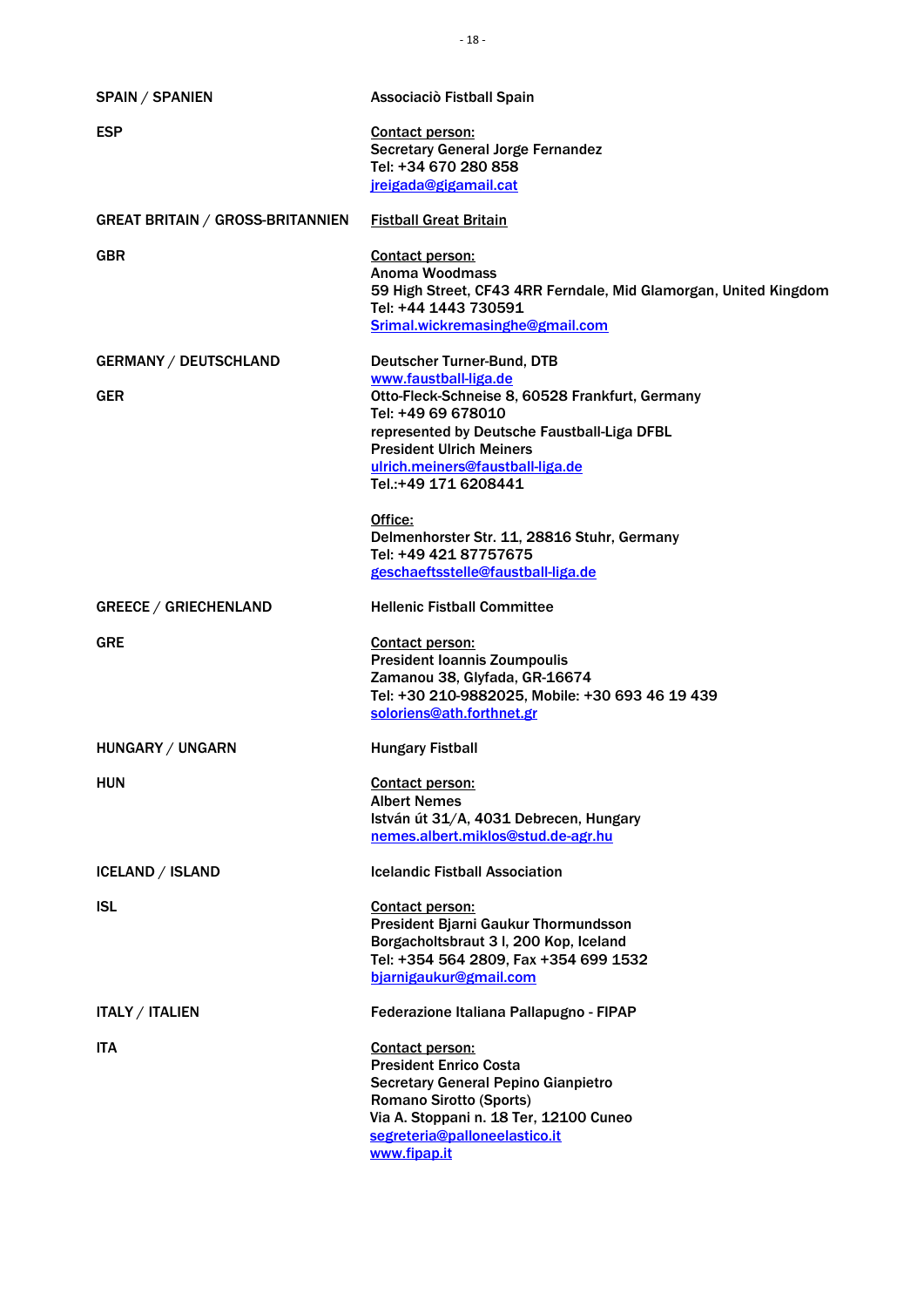| <b>SPAIN / SPANIEN</b>                  | Associaciò Fistball Spain                                                                                                                                                                                                                    |
|-----------------------------------------|----------------------------------------------------------------------------------------------------------------------------------------------------------------------------------------------------------------------------------------------|
| <b>ESP</b>                              | Contact person:<br><b>Secretary General Jorge Fernandez</b><br>Tel: +34 670 280 858<br>jreigada@gigamail.cat                                                                                                                                 |
| <b>GREAT BRITAIN / GROSS-BRITANNIEN</b> | <b>Fistball Great Britain</b>                                                                                                                                                                                                                |
| <b>GBR</b>                              | <b>Contact person:</b><br>Anoma Woodmass<br>59 High Street, CF43 4RR Ferndale, Mid Glamorgan, United Kingdom<br>Tel: +44 1443 730591<br>Srimal.wickremasinghe@gmail.com                                                                      |
| <b>GERMANY / DEUTSCHLAND</b>            | Deutscher Turner-Bund, DTB                                                                                                                                                                                                                   |
| <b>GER</b>                              | www.faustball-liga.de<br>Otto-Fleck-Schneise 8, 60528 Frankfurt, Germany<br>Tel: +49 69 678010<br>represented by Deutsche Faustball-Liga DFBL<br><b>President Ulrich Meiners</b><br>ulrich.meiners@faustball-liga.de<br>Tel.:+49 171 6208441 |
|                                         | Office:<br>Delmenhorster Str. 11, 28816 Stuhr, Germany<br>Tel: +49 421 87757675<br>geschaeftsstelle@faustball-liga.de                                                                                                                        |
| <b>GREECE / GRIECHENLAND</b>            | <b>Hellenic Fistball Committee</b>                                                                                                                                                                                                           |
| <b>GRE</b>                              | <b>Contact person:</b><br><b>President Ioannis Zoumpoulis</b><br>Zamanou 38, Glyfada, GR-16674<br>Tel: +30 210-9882025, Mobile: +30 693 46 19 439<br>soloriens@ath.forthnet.gr                                                               |
| HUNGARY / UNGARN                        | <b>Hungary Fistball</b>                                                                                                                                                                                                                      |
| <b>HUN</b>                              | Contact person:<br><b>Albert Nemes</b><br>István út 31/A, 4031 Debrecen, Hungary<br>nemes.albert.miklos@stud.de-agr.hu                                                                                                                       |
| <b>ICELAND / ISLAND</b>                 | <b>Icelandic Fistball Association</b>                                                                                                                                                                                                        |
| <b>ISL</b>                              | Contact person:<br>President Bjarni Gaukur Thormundsson<br>Borgacholtsbraut 3 I, 200 Kop, Iceland<br>Tel: +354 564 2809, Fax +354 699 1532<br>bjarnigaukur@gmail.com                                                                         |
| <b>ITALY / ITALIEN</b>                  | Federazione Italiana Pallapugno - FIPAP                                                                                                                                                                                                      |
| <b>ITA</b>                              | Contact person:<br><b>President Enrico Costa</b><br>Secretary General Pepino Gianpietro<br><b>Romano Sirotto (Sports)</b><br>Via A. Stoppani n. 18 Ter, 12100 Cuneo<br>segreteria@palloneelastico.it<br>www.fipap.it                         |

- 18 -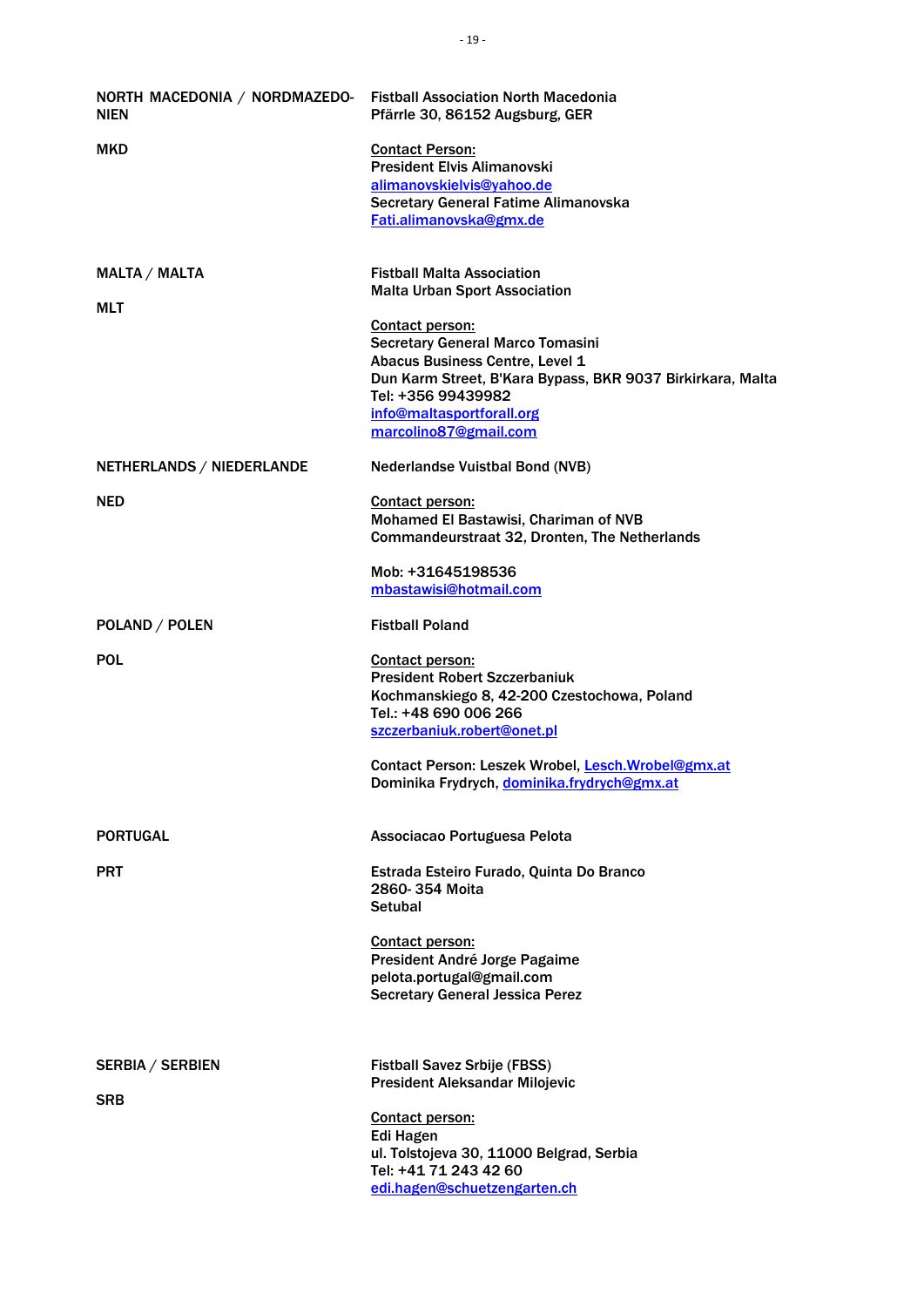| NORTH MACEDONIA / NORDMAZEDO- Fistball Association North Macedonia<br><b>NIEN</b> | Pfärrle 30, 86152 Augsburg, GER                                                                                                                                                                                                  |
|-----------------------------------------------------------------------------------|----------------------------------------------------------------------------------------------------------------------------------------------------------------------------------------------------------------------------------|
| <b>MKD</b>                                                                        | <b>Contact Person:</b><br><b>President Elvis Alimanovski</b><br>alimanovskielvis@vahoo.de<br>Secretary General Fatime Alimanovska                                                                                                |
|                                                                                   | Fati.alimanovska@gmx.de                                                                                                                                                                                                          |
| <b>MALTA / MALTA</b><br>MLT                                                       | <b>Fistball Malta Association</b><br><b>Malta Urban Sport Association</b>                                                                                                                                                        |
|                                                                                   | Contact person:<br>Secretary General Marco Tomasini<br>Abacus Business Centre, Level 1<br>Dun Karm Street, B'Kara Bypass, BKR 9037 Birkirkara, Malta<br>Tel: +356 99439982<br>info@maltasportforall.org<br>marcolino87@gmail.com |
| NETHERLANDS / NIEDERLANDE                                                         | <b>Nederlandse Vuistbal Bond (NVB)</b>                                                                                                                                                                                           |
| <b>NED</b>                                                                        | Contact person:<br>Mohamed El Bastawisi, Chariman of NVB<br>Commandeurstraat 32, Dronten, The Netherlands                                                                                                                        |
|                                                                                   | Mob: +31645198536<br>mbastawisi@hotmail.com                                                                                                                                                                                      |
| POLAND / POLEN                                                                    | <b>Fistball Poland</b>                                                                                                                                                                                                           |
| <b>POL</b>                                                                        | <b>Contact person:</b><br><b>President Robert Szczerbaniuk</b><br>Kochmanskiego 8, 42-200 Czestochowa, Poland<br>Tel.: +48 690 006 266<br>szczerbaniuk.robert@onet.pl<br>Contact Person: Leszek Wrobel, Lesch. Wrobel@gmx.at     |
|                                                                                   | Dominika Frydrych, dominika.frydrych@gmx.at                                                                                                                                                                                      |
| <b>PORTUGAL</b>                                                                   | Associacao Portuguesa Pelota                                                                                                                                                                                                     |
| <b>PRT</b>                                                                        | Estrada Esteiro Furado, Quinta Do Branco<br>2860-354 Moita<br><b>Setubal</b>                                                                                                                                                     |
|                                                                                   | Contact person:<br>President André Jorge Pagaime<br>pelota.portugal@gmail.com<br><b>Secretary General Jessica Perez</b>                                                                                                          |
| <b>SERBIA / SERBIEN</b>                                                           | <b>Fistball Savez Srbije (FBSS)</b><br><b>President Aleksandar Milojevic</b>                                                                                                                                                     |
| <b>SRB</b>                                                                        |                                                                                                                                                                                                                                  |
|                                                                                   | Contact person:<br><b>Edi Hagen</b><br>ul. Tolstojeva 30, 11000 Belgrad, Serbia<br>Tel: +41 71 243 42 60                                                                                                                         |
|                                                                                   | edi.hagen@schuetzengarten.ch                                                                                                                                                                                                     |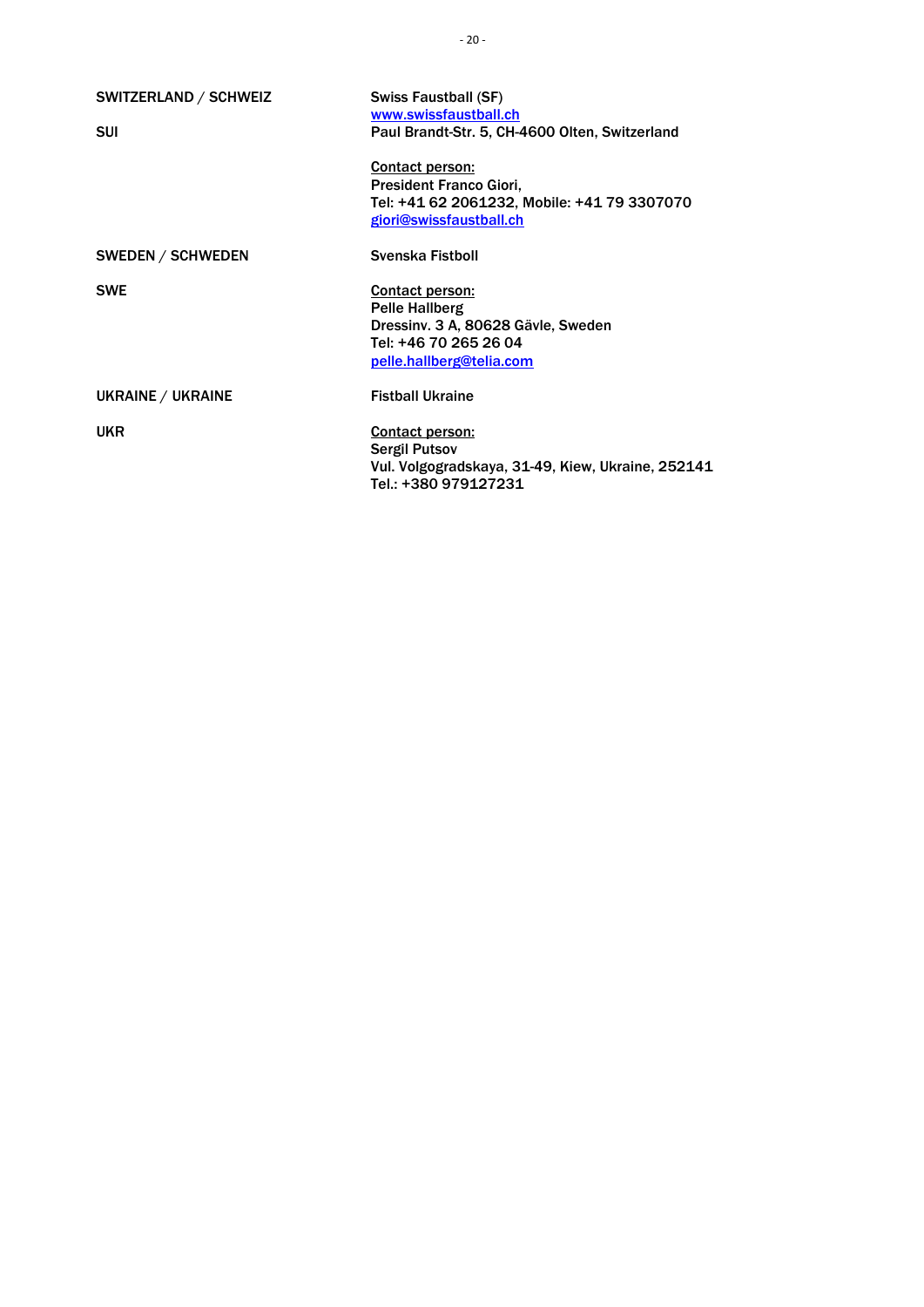| SWITZERLAND / SCHWEIZ    | Swiss Faustball (SF)                              |
|--------------------------|---------------------------------------------------|
|                          | www.swissfaustball.ch                             |
| <b>SUI</b>               | Paul Brandt-Str. 5, CH-4600 Olten, Switzerland    |
|                          | Contact person:                                   |
|                          | <b>President Franco Giori,</b>                    |
|                          | Tel: +41 62 2061232, Mobile: +41 79 3307070       |
|                          | giori@swissfaustball.ch                           |
| <b>SWEDEN / SCHWEDEN</b> | Svenska Fistboll                                  |
| <b>SWE</b>               | Contact person:                                   |
|                          | <b>Pelle Hallberg</b>                             |
|                          | Dressiny. 3 A, 80628 Gäyle, Sweden                |
|                          | Tel: +46 70 265 26 04                             |
|                          | pelle.hallberg@telia.com                          |
| UKRAINE / UKRAINE        | <b>Fistball Ukraine</b>                           |
| <b>UKR</b>               | Contact person:                                   |
|                          | <b>Sergil Putsov</b>                              |
|                          | Vul. Volgogradskaya, 31-49, Kiew, Ukraine, 252141 |
|                          | Tel.: +380 979127231                              |
|                          |                                                   |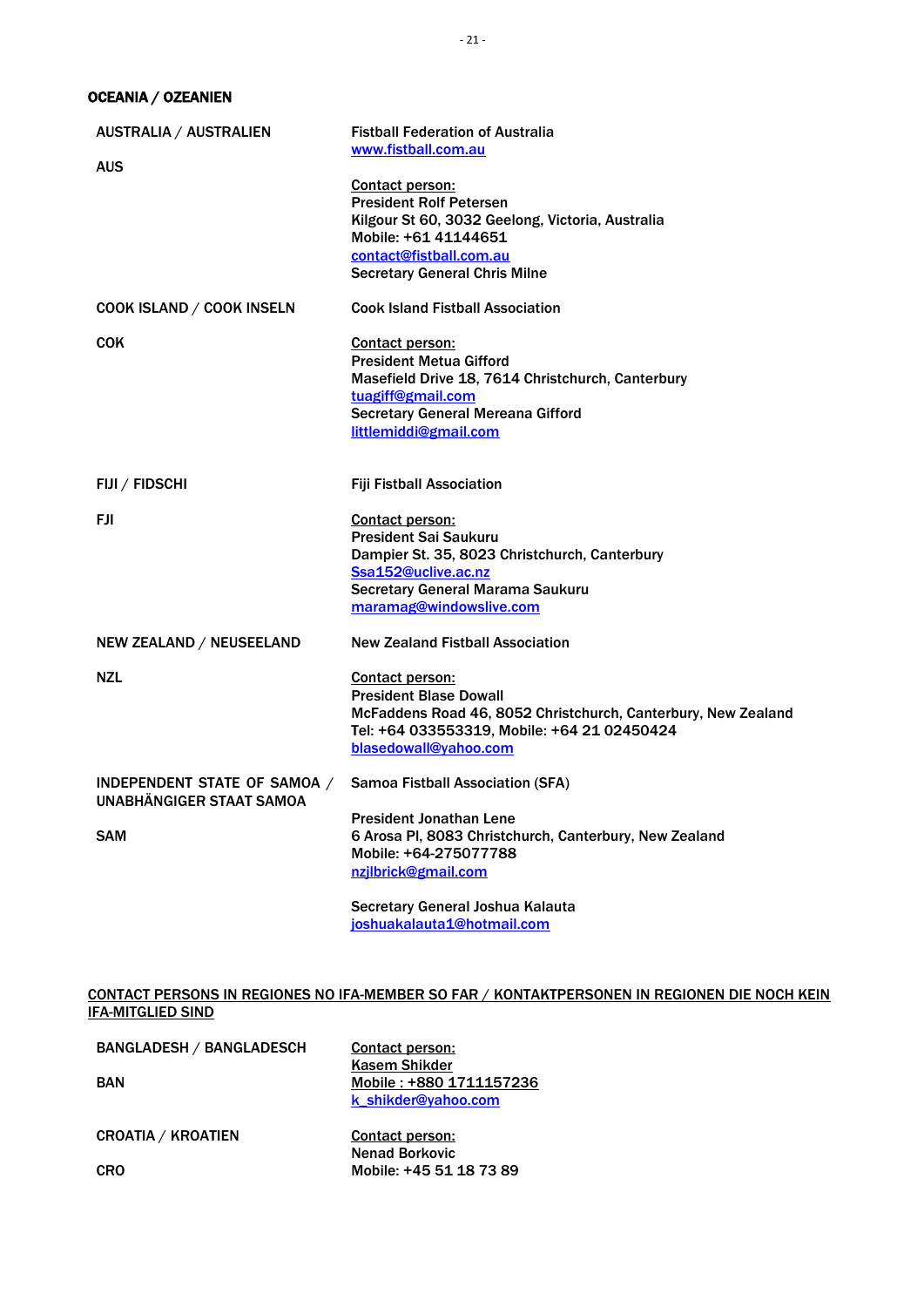OCEANIA / OZEANIEN

| <b>AUSTRALIA / AUSTRALIEN</b>                                   | <b>Fistball Federation of Australia</b><br>www.fistball.com.au                                      |
|-----------------------------------------------------------------|-----------------------------------------------------------------------------------------------------|
| <b>AUS</b>                                                      |                                                                                                     |
|                                                                 | <b>Contact person:</b><br><b>President Rolf Petersen</b>                                            |
|                                                                 | Kilgour St 60, 3032 Geelong, Victoria, Australia                                                    |
|                                                                 | Mobile: +61 41144651                                                                                |
|                                                                 | contact@fistball.com.au                                                                             |
|                                                                 | <b>Secretary General Chris Milne</b>                                                                |
| COOK ISLAND / COOK INSELN                                       | <b>Cook Island Fistball Association</b>                                                             |
| <b>COK</b>                                                      | Contact person:                                                                                     |
|                                                                 | <b>President Metua Gifford</b>                                                                      |
|                                                                 | Masefield Drive 18, 7614 Christchurch, Canterbury                                                   |
|                                                                 | tuagiff@gmail.com<br><b>Secretary General Mereana Gifford</b>                                       |
|                                                                 | littlemiddi@gmail.com                                                                               |
|                                                                 |                                                                                                     |
| FIJI / FIDSCHI                                                  | <b>Fiji Fistball Association</b>                                                                    |
| FJI.                                                            | Contact person:                                                                                     |
|                                                                 | <b>President Sai Saukuru</b>                                                                        |
|                                                                 | Dampier St. 35, 8023 Christchurch, Canterbury                                                       |
|                                                                 | Ssa152@uclive.ac.nz                                                                                 |
|                                                                 | Secretary General Marama Saukuru                                                                    |
|                                                                 | maramag@windowslive.com                                                                             |
| NEW ZEALAND / NEUSEELAND                                        | <b>New Zealand Fistball Association</b>                                                             |
| <b>NZL</b>                                                      | Contact person:                                                                                     |
|                                                                 | <b>President Blase Dowall</b>                                                                       |
|                                                                 | McFaddens Road 46, 8052 Christchurch, Canterbury, New Zealand                                       |
|                                                                 | Tel: +64 033553319, Mobile: +64 21 02450424                                                         |
|                                                                 | blasedowall@yahoo.com                                                                               |
| INDEPENDENT STATE OF SAMOA /<br><b>UNABHÄNGIGER STAAT SAMOA</b> | <b>Samoa Fistball Association (SFA)</b>                                                             |
|                                                                 | <b>President Jonathan Lene</b>                                                                      |
| <b>SAM</b>                                                      | 6 Arosa PI, 8083 Christchurch, Canterbury, New Zealand                                              |
|                                                                 | Mobile: +64-275077788                                                                               |
|                                                                 | nzjlbrick@gmail.com                                                                                 |
|                                                                 | Secretary General Joshua Kalauta                                                                    |
|                                                                 | joshuakalauta1@hotmail.com                                                                          |
|                                                                 |                                                                                                     |
| <b>IFA-MITGLIED SIND</b>                                        | <u>CONTACT PERSONS IN REGIONES NO IFA-MEMBER SO FAR / KONTAKTPERSONEN IN REGIONEN DIE NOCH KEIN</u> |
|                                                                 |                                                                                                     |
| <b>BANGLADESH / BANGLADESCH</b>                                 | <b>Contact person:</b>                                                                              |

<span id="page-20-0"></span>

| DANULAULON / DANULAULOUN  | Contact person:         |
|---------------------------|-------------------------|
|                           | Kasem Shikder           |
| <b>BAN</b>                | Mobile: +880 1711157236 |
|                           | k shikder@yahoo.com     |
| <b>CROATIA / KROATIEN</b> | Contact person:         |
|                           | <b>Nenad Borkovic</b>   |
| <b>CRO</b>                | Mobile: +45 51 18 73 89 |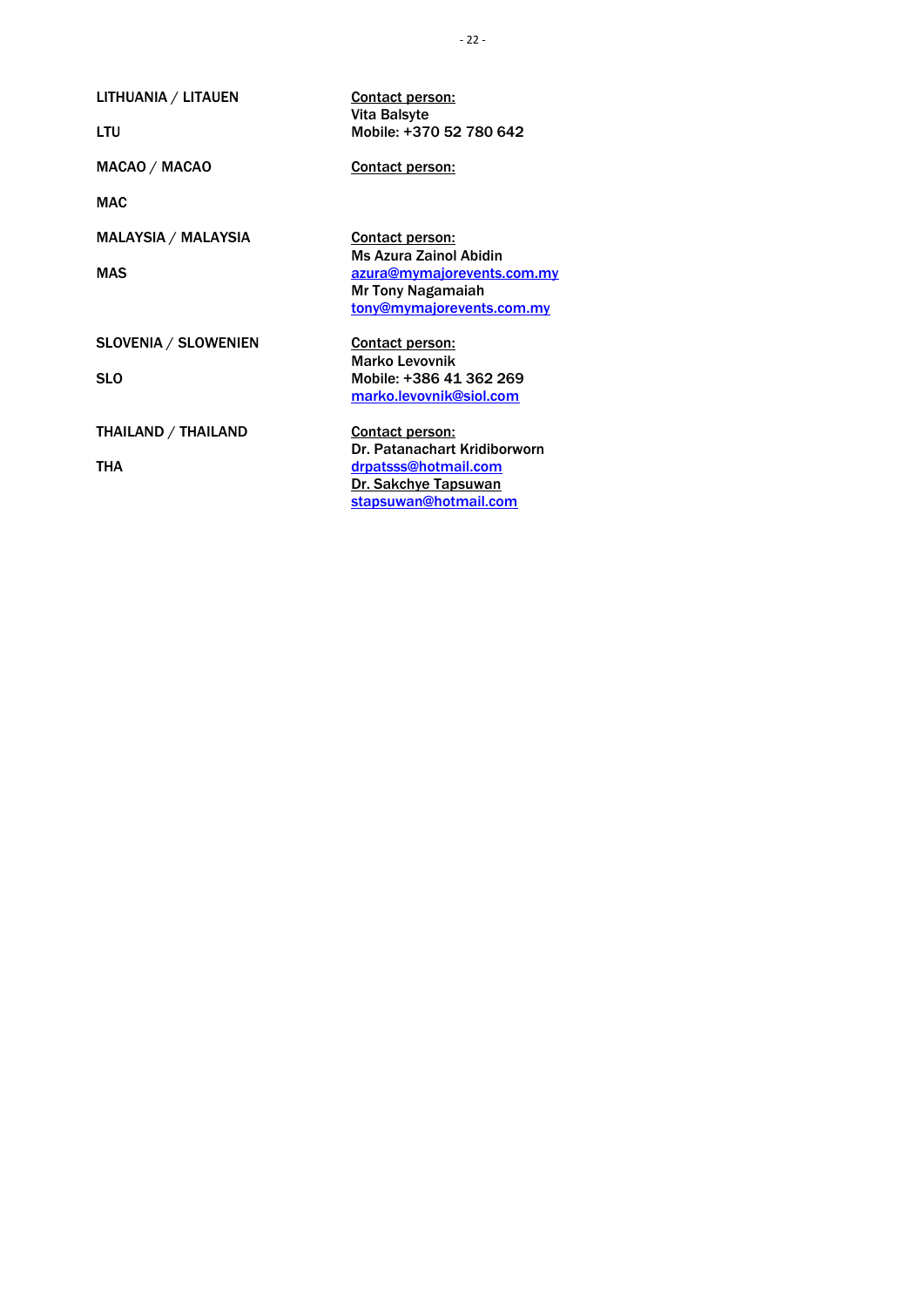LITHUANIA / LITAUEN

LTU

MACAO / MACAO

MAC

MALAYSIA / MALAYSIA

MAS

SLOVENIA / SLOWENIEN

SLO

THAILAND / THAILAND

THA

Contact person: Vita Balsyte Mobile: +370 52 780 642

Contact person:

Contact person: Ms Azura Zainol Abidin [azura@mymajorevents.com.my](mailto:azura@mymajorevents.com.my) Mr Tony Nagamaiah [tony@mymajorevents.com.my](mailto:tony@mymajorevents.com.my)

Contact person: Marko Levovnik Mobile: +386 41 362 269 [marko.levovnik@siol.com](mailto:marko.levovnik@siol.com)

Contact person: Dr. Patanachart Kridiborworn [drpatsss@hotmail.com](mailto:drpatsss@hotmail.com) Dr. Sakchye Tapsuwan [stapsuwan@hotmail.com](mailto:stapsuwan@hotmail.com)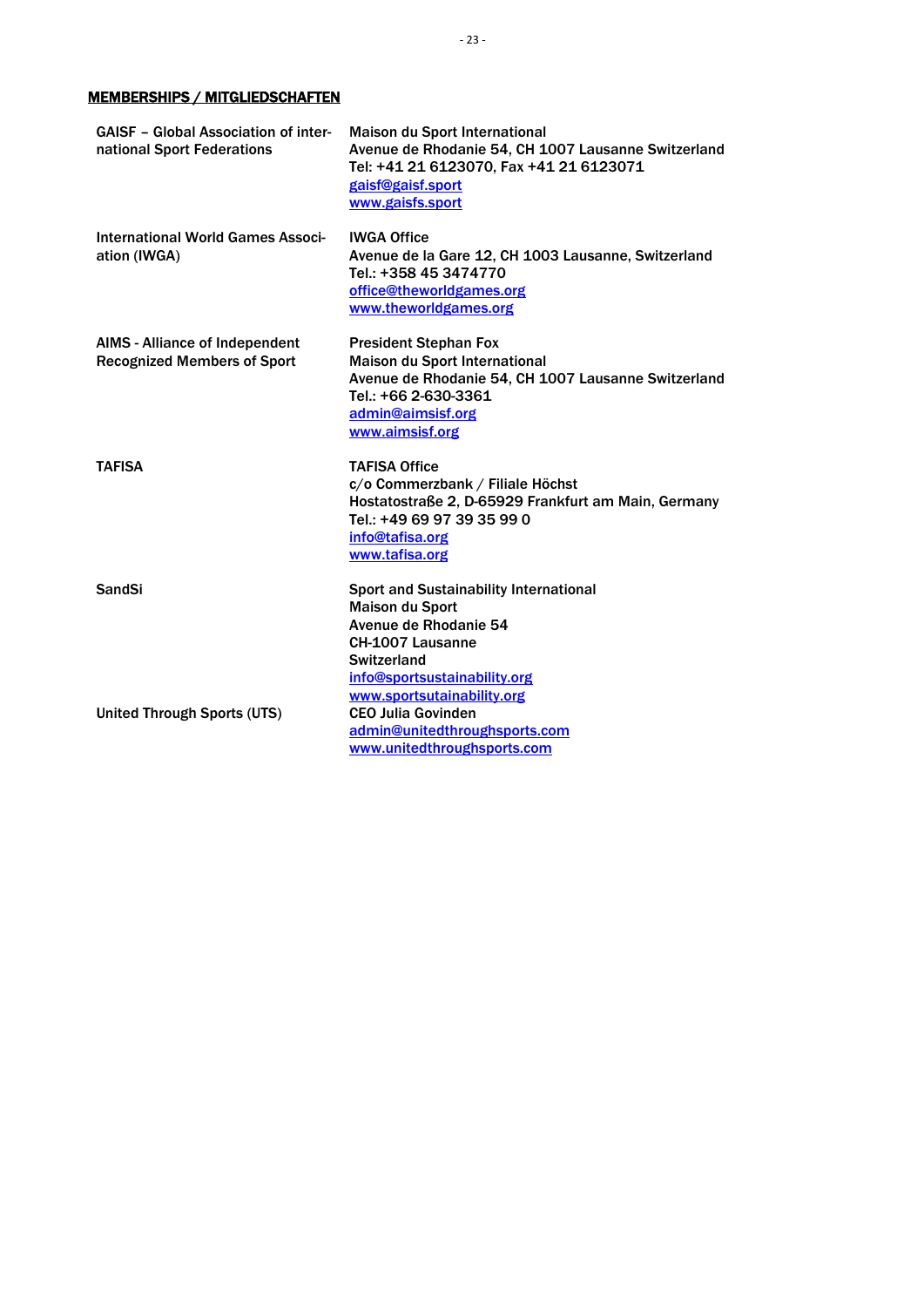### <span id="page-22-0"></span>MEMBERSHIPS / MITGLIEDSCHAFTEN

| <b>GAISF - Global Association of inter-</b><br>national Sport Federations   | <b>Maison du Sport International</b><br>Avenue de Rhodanie 54, CH 1007 Lausanne Switzerland<br>Tel: +41 21 6123070, Fax +41 21 6123071<br>gaisf@gaisf.sport<br>www.gaisfs.sport             |
|-----------------------------------------------------------------------------|---------------------------------------------------------------------------------------------------------------------------------------------------------------------------------------------|
| International World Games Associ-<br>ation (IWGA)                           | <b>IWGA Office</b><br>Avenue de la Gare 12, CH 1003 Lausanne, Switzerland<br>Tel.: +358 45 3474770<br>office@theworldgames.org<br>www.theworldgames.org                                     |
| <b>AIMS</b> - Alliance of Independent<br><b>Recognized Members of Sport</b> | <b>President Stephan Fox</b><br><b>Maison du Sport International</b><br>Avenue de Rhodanie 54, CH 1007 Lausanne Switzerland<br>Tel.: +66 2-630-3361<br>admin@aimsisf.org<br>www.aimsisf.org |
| <b>TAFISA</b>                                                               | <b>TAFISA Office</b><br>c/o Commerzbank / Filiale Höchst<br>Hostatostraße 2, D-65929 Frankfurt am Main, Germany<br>Tel.: +49 69 97 39 35 99 0<br>info@tafisa.org<br>www.tafisa.org          |
| <b>SandSi</b>                                                               | <b>Sport and Sustainability International</b><br><b>Maison du Sport</b><br>Avenue de Rhodanie 54<br><b>CH-1007 Lausanne</b><br><b>Switzerland</b><br>info@sportsustainability.org           |
| <b>United Through Sports (UTS)</b>                                          | www.sportsutainability.org<br><b>CEO Julia Govinden</b><br>admin@unitedthroughsports.com<br>www.unitedthroughsports.com                                                                     |